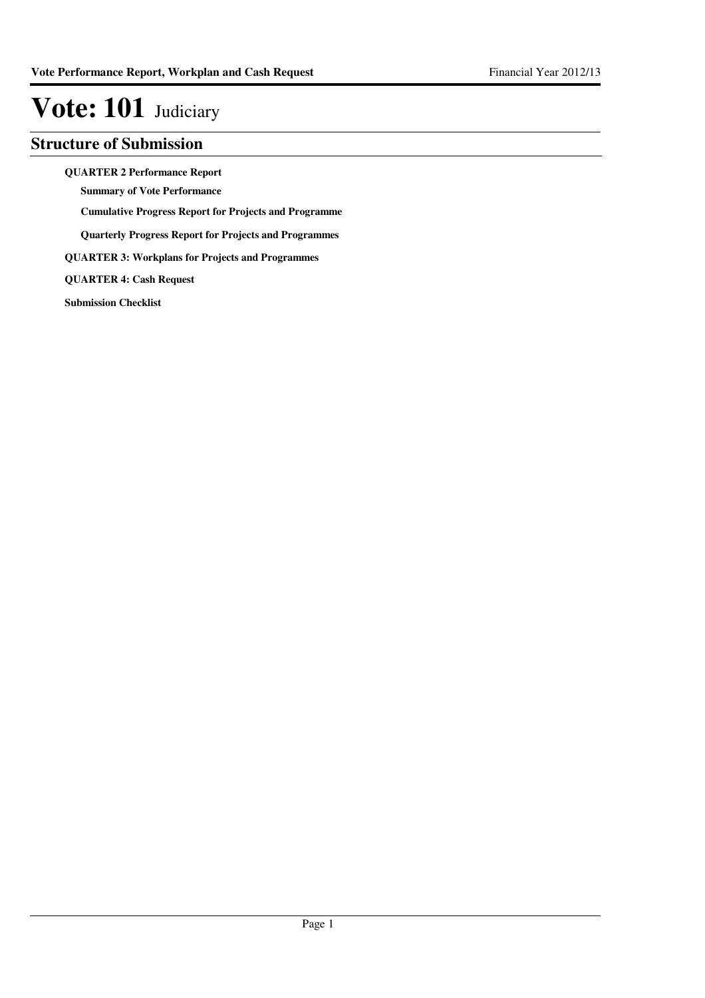### **Structure of Submission**

**QUARTER 2 Performance Report**

**Summary of Vote Performance**

**Cumulative Progress Report for Projects and Programme**

**Quarterly Progress Report for Projects and Programmes**

**QUARTER 3: Workplans for Projects and Programmes**

**QUARTER 4: Cash Request**

**Submission Checklist**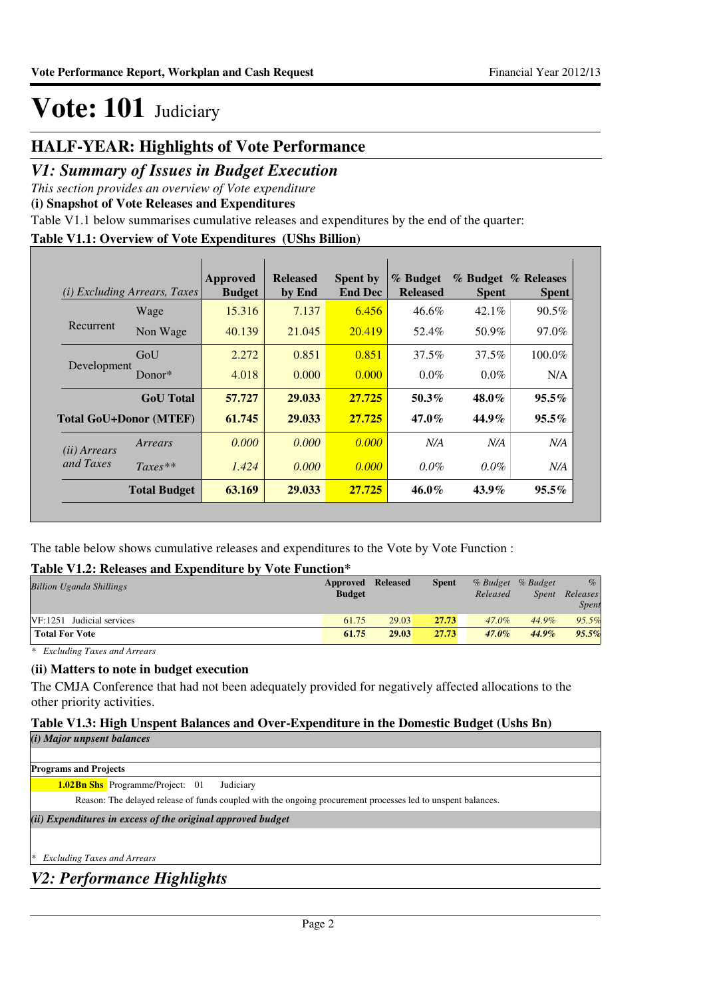### **HALF-YEAR: Highlights of Vote Performance**

### *V1: Summary of Issues in Budget Execution*

*This section provides an overview of Vote expenditure* 

**(i) Snapshot of Vote Releases and Expenditures**

Table V1.1 below summarises cumulative releases and expenditures by the end of the quarter:

### **Table V1.1: Overview of Vote Expenditures (UShs Billion)**

|                       | ( <i>i</i> ) Excluding Arrears, Taxes | Approved<br><b>Budget</b> | <b>Released</b><br>by End | <b>Spent by</b><br><b>End Dec</b> | % Budget<br><b>Released</b> | <b>Spent</b> | % Budget % Releases<br><b>Spent</b> |
|-----------------------|---------------------------------------|---------------------------|---------------------------|-----------------------------------|-----------------------------|--------------|-------------------------------------|
|                       | Wage                                  | 15.316                    | 7.137                     | 6.456                             | 46.6%                       | $42.1\%$     | 90.5%                               |
| Recurrent             | Non Wage                              | 40.139                    | 21.045                    | 20.419                            | 52.4%                       | 50.9%        | 97.0%                               |
|                       | GoU                                   | 2.272                     | 0.851                     | 0.851                             | 37.5%                       | 37.5%        | 100.0%                              |
| Development           | Donor $*$                             | 4.018                     | 0.000                     | 0.000                             | $0.0\%$                     | $0.0\%$      | N/A                                 |
|                       | <b>GoU</b> Total                      | 57.727                    | 29.033                    | 27.725                            | $50.3\%$                    | 48.0%        | $95.5\%$                            |
|                       | Total GoU+Donor (MTEF)                | 61.745                    | 29.033                    | 27.725                            | $47.0\%$                    | 44.9%        | $95.5\%$                            |
| ( <i>ii</i> ) Arrears | Arrears                               | 0.000                     | 0.000                     | 0.000                             | N/A                         | N/A          | N/A                                 |
| and Taxes             | $Taxes**$                             | 1.424                     | 0.000                     | 0.000                             | $0.0\%$                     | $0.0\%$      | N/A                                 |
|                       | <b>Total Budget</b>                   | 63.169                    | 29.033                    | 27.725                            | $46.0\%$                    | $43.9\%$     | $95.5\%$                            |

The table below shows cumulative releases and expenditures to the Vote by Vote Function :

### **Table V1.2: Releases and Expenditure by Vote Function\***

| <b>Billion Uganda Shillings</b> | Approved<br><b>Budget</b> | <b>Released</b> | <b>Spent</b> | Released | % Budget % Budget<br><i>Spent</i> | $\%$<br>Releases<br><b>Spent</b> |
|---------------------------------|---------------------------|-----------------|--------------|----------|-----------------------------------|----------------------------------|
| $VF: 1251$ Judicial services    | 61.75                     | 29.03           | 27.73        | 47.0%    | 44.9%                             | 95.5%                            |
| <b>Total For Vote</b>           | 61.75                     | 29.03           | 27.73        | $47.0\%$ | $44.9\%$                          | 95.5%                            |

*\* Excluding Taxes and Arrears*

### **(ii) Matters to note in budget execution**

The CMJA Conference that had not been adequately provided for negatively affected allocations to the other priority activities.

### **Table V1.3: High Unspent Balances and Over-Expenditure in the Domestic Budget (Ushs Bn)**

*(i) Major unpsent balances*

**Programs and Projects**

**Bn Shs** Programme/Project: 01 Judiciary **1.02**

Reason: The delayed release of funds coupled with the ongoing procurement processes led to unspent balances.

*(ii) Expenditures in excess of the original approved budget*

*\* Excluding Taxes and Arrears*

*V2: Performance Highlights*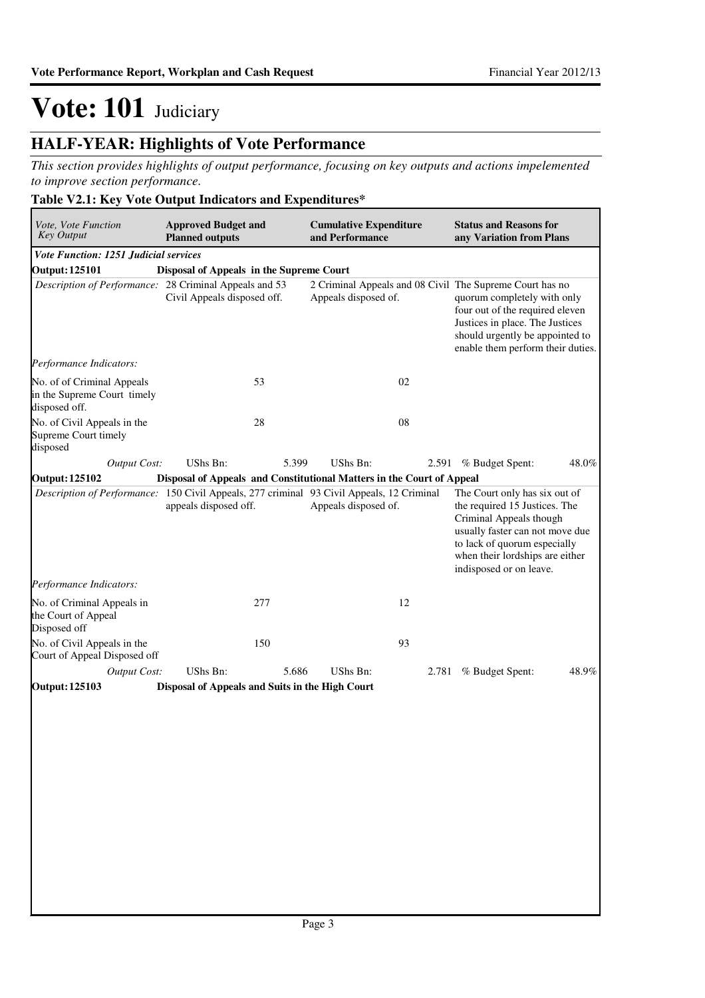### **HALF-YEAR: Highlights of Vote Performance**

*This section provides highlights of output performance, focusing on key outputs and actions impelemented to improve section performance.*

### **Table V2.1: Key Vote Output Indicators and Expenditures\***

| Vote, Vote Function<br><b>Key Output</b>                                                  | <b>Approved Budget and</b><br><b>Planned outputs</b>                  |       | <b>Cumulative Expenditure</b><br>and Performance |       | <b>Status and Reasons for</b><br>any Variation from Plans                                                                                                                                                                             |       |
|-------------------------------------------------------------------------------------------|-----------------------------------------------------------------------|-------|--------------------------------------------------|-------|---------------------------------------------------------------------------------------------------------------------------------------------------------------------------------------------------------------------------------------|-------|
| Vote Function: 1251 Judicial services                                                     |                                                                       |       |                                                  |       |                                                                                                                                                                                                                                       |       |
| <b>Output: 125101</b>                                                                     | Disposal of Appeals in the Supreme Court                              |       |                                                  |       |                                                                                                                                                                                                                                       |       |
| Description of Performance: 28 Criminal Appeals and 53                                    | Civil Appeals disposed off.                                           |       | Appeals disposed of.                             |       | 2 Criminal Appeals and 08 Civil The Supreme Court has no<br>quorum completely with only<br>four out of the required eleven<br>Justices in place. The Justices<br>should urgently be appointed to<br>enable them perform their duties. |       |
| Performance Indicators:                                                                   |                                                                       |       |                                                  |       |                                                                                                                                                                                                                                       |       |
| No. of of Criminal Appeals<br>in the Supreme Court timely<br>disposed off.                |                                                                       | 53    |                                                  | 02    |                                                                                                                                                                                                                                       |       |
| No. of Civil Appeals in the<br>Supreme Court timely<br>disposed                           |                                                                       | 28    |                                                  | 08    |                                                                                                                                                                                                                                       |       |
| <b>Output Cost:</b>                                                                       | <b>UShs Bn:</b>                                                       | 5.399 | UShs Bn:                                         |       | 2.591 % Budget Spent:                                                                                                                                                                                                                 | 48.0% |
| <b>Output: 125102</b>                                                                     | Disposal of Appeals and Constitutional Matters in the Court of Appeal |       |                                                  |       |                                                                                                                                                                                                                                       |       |
| Description of Performance: 150 Civil Appeals, 277 criminal 93 Civil Appeals, 12 Criminal | appeals disposed off.                                                 |       | Appeals disposed of.                             |       | The Court only has six out of<br>the required 15 Justices. The<br>Criminal Appeals though<br>usually faster can not move due<br>to lack of quorum especially<br>when their lordships are either<br>indisposed or on leave.            |       |
| Performance Indicators:                                                                   |                                                                       |       |                                                  |       |                                                                                                                                                                                                                                       |       |
| No. of Criminal Appeals in<br>the Court of Appeal<br>Disposed off                         |                                                                       | 277   |                                                  | 12    |                                                                                                                                                                                                                                       |       |
| No. of Civil Appeals in the<br>Court of Appeal Disposed off                               |                                                                       | 150   |                                                  | 93    |                                                                                                                                                                                                                                       |       |
| <b>Output Cost:</b>                                                                       | UShs Bn:                                                              | 5.686 | UShs Bn:                                         | 2.781 | % Budget Spent:                                                                                                                                                                                                                       | 48.9% |
| <b>Output: 125103</b>                                                                     | Disposal of Appeals and Suits in the High Court                       |       |                                                  |       |                                                                                                                                                                                                                                       |       |
|                                                                                           |                                                                       |       |                                                  |       |                                                                                                                                                                                                                                       |       |
|                                                                                           |                                                                       |       |                                                  |       |                                                                                                                                                                                                                                       |       |
|                                                                                           |                                                                       |       |                                                  |       |                                                                                                                                                                                                                                       |       |
|                                                                                           |                                                                       |       |                                                  |       |                                                                                                                                                                                                                                       |       |
|                                                                                           |                                                                       |       |                                                  |       |                                                                                                                                                                                                                                       |       |
|                                                                                           |                                                                       |       |                                                  |       |                                                                                                                                                                                                                                       |       |
|                                                                                           |                                                                       |       |                                                  |       |                                                                                                                                                                                                                                       |       |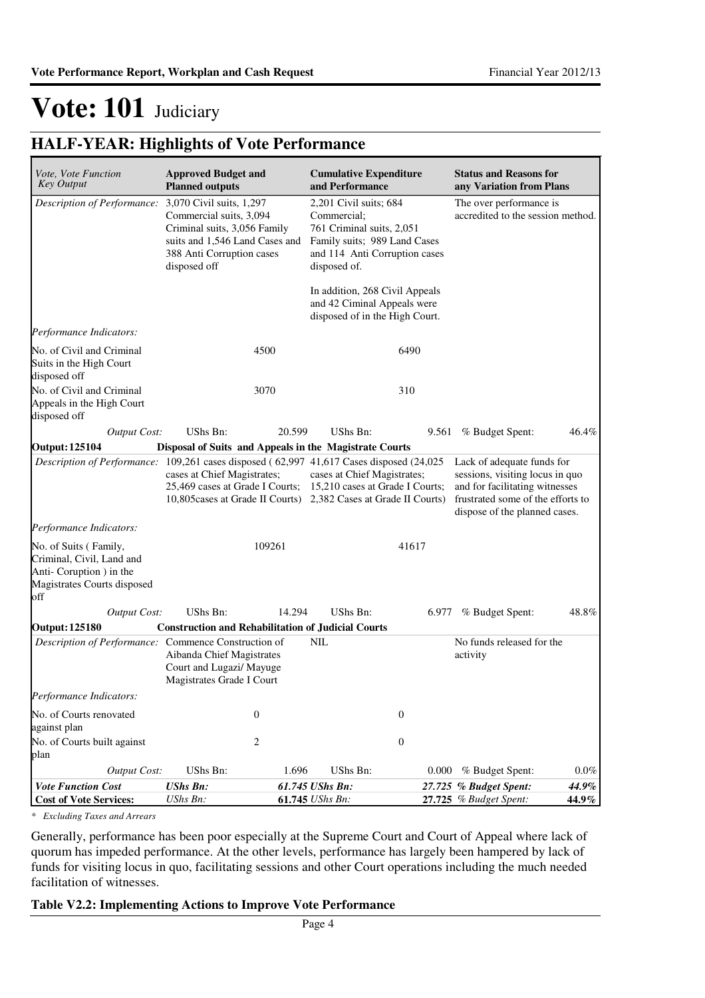### **HALF-YEAR: Highlights of Vote Performance**

| Vote, Vote Function<br><b>Key Output</b>                                                                            | <b>Approved Budget and</b><br><b>Planned outputs</b>                                                 |                                                                     | <b>Cumulative Expenditure</b><br>and Performance                                                                                                    |                  | <b>Status and Reasons for</b><br>any Variation from Plans                                                                                                             |         |
|---------------------------------------------------------------------------------------------------------------------|------------------------------------------------------------------------------------------------------|---------------------------------------------------------------------|-----------------------------------------------------------------------------------------------------------------------------------------------------|------------------|-----------------------------------------------------------------------------------------------------------------------------------------------------------------------|---------|
| Description of Performance: 3,070 Civil suits, 1,297                                                                | Commercial suits, 3,094<br>Criminal suits, 3,056 Family<br>388 Anti Corruption cases<br>disposed off | suits and 1,546 Land Cases and                                      | 2,201 Civil suits; 684<br>Commercial;<br>761 Criminal suits, 2,051<br>Family suits; 989 Land Cases<br>and 114 Anti Corruption cases<br>disposed of. |                  | The over performance is<br>accredited to the session method.                                                                                                          |         |
|                                                                                                                     |                                                                                                      |                                                                     | In addition, 268 Civil Appeals<br>and 42 Ciminal Appeals were<br>disposed of in the High Court.                                                     |                  |                                                                                                                                                                       |         |
| Performance Indicators:                                                                                             |                                                                                                      |                                                                     |                                                                                                                                                     |                  |                                                                                                                                                                       |         |
| No. of Civil and Criminal<br>Suits in the High Court<br>disposed off                                                |                                                                                                      | 4500                                                                |                                                                                                                                                     | 6490             |                                                                                                                                                                       |         |
| No. of Civil and Criminal<br>Appeals in the High Court<br>disposed off                                              |                                                                                                      | 3070                                                                |                                                                                                                                                     | 310              |                                                                                                                                                                       |         |
| <b>Output Cost:</b>                                                                                                 | UShs Bn:                                                                                             | 20.599                                                              | <b>UShs Bn:</b>                                                                                                                                     | 9.561            | % Budget Spent:                                                                                                                                                       | 46.4%   |
| <b>Output: 125104</b>                                                                                               |                                                                                                      |                                                                     | Disposal of Suits and Appeals in the Magistrate Courts                                                                                              |                  |                                                                                                                                                                       |         |
| Description of Performance: 109,261 cases disposed (62,997 41,617 Cases disposed (24,025                            | cases at Chief Magistrates;                                                                          | 25,469 cases at Grade I Courts;<br>10,805 cases at Grade II Courts) | cases at Chief Magistrates;<br>15,210 cases at Grade I Courts;<br>2,382 Cases at Grade II Courts)                                                   |                  | Lack of adequate funds for<br>sessions, visiting locus in quo<br>and for facilitating witnesses<br>frustrated some of the efforts to<br>dispose of the planned cases. |         |
| Performance Indicators:                                                                                             |                                                                                                      |                                                                     |                                                                                                                                                     |                  |                                                                                                                                                                       |         |
| No. of Suits (Family,<br>Criminal, Civil, Land and<br>Anti-Coruption ) in the<br>Magistrates Courts disposed<br>off |                                                                                                      | 109261                                                              |                                                                                                                                                     | 41617            |                                                                                                                                                                       |         |
| <b>Output Cost:</b>                                                                                                 | UShs Bn:                                                                                             | 14.294                                                              | UShs Bn:                                                                                                                                            | 6.977            | % Budget Spent:                                                                                                                                                       | 48.8%   |
| <b>Output: 125180</b>                                                                                               |                                                                                                      |                                                                     | <b>Construction and Rehabilitation of Judicial Courts</b>                                                                                           |                  |                                                                                                                                                                       |         |
| Description of Performance: Commence Construction of                                                                | Aibanda Chief Magistrates<br>Court and Lugazi/ Mayuge<br>Magistrates Grade I Court                   |                                                                     | <b>NIL</b>                                                                                                                                          |                  | No funds released for the<br>activity                                                                                                                                 |         |
| Performance Indicators:                                                                                             |                                                                                                      |                                                                     |                                                                                                                                                     |                  |                                                                                                                                                                       |         |
| No. of Courts renovated<br>against plan                                                                             |                                                                                                      | $\boldsymbol{0}$                                                    |                                                                                                                                                     | $\boldsymbol{0}$ |                                                                                                                                                                       |         |
| No. of Courts built against<br>plan                                                                                 |                                                                                                      | $\overline{c}$                                                      |                                                                                                                                                     | $\boldsymbol{0}$ |                                                                                                                                                                       |         |
| Output Cost:                                                                                                        | UShs Bn:                                                                                             | 1.696                                                               | <b>UShs Bn:</b>                                                                                                                                     | 0.000            | % Budget Spent:                                                                                                                                                       | $0.0\%$ |
| <b>Vote Function Cost</b>                                                                                           | <b>UShs Bn:</b>                                                                                      |                                                                     | 61.745 UShs Bn:                                                                                                                                     |                  | 27.725 % Budget Spent:                                                                                                                                                | 44.9%   |
| <b>Cost of Vote Services:</b>                                                                                       | UShs Bn:                                                                                             |                                                                     | 61.745 UShs Bn:                                                                                                                                     |                  | 27.725 % Budget Spent:                                                                                                                                                | 44.9%   |

*\* Excluding Taxes and Arrears*

Generally, performance has been poor especially at the Supreme Court and Court of Appeal where lack of quorum has impeded performance. At the other levels, performance has largely been hampered by lack of funds for visiting locus in quo, facilitating sessions and other Court operations including the much needed facilitation of witnesses.

### **Table V2.2: Implementing Actions to Improve Vote Performance**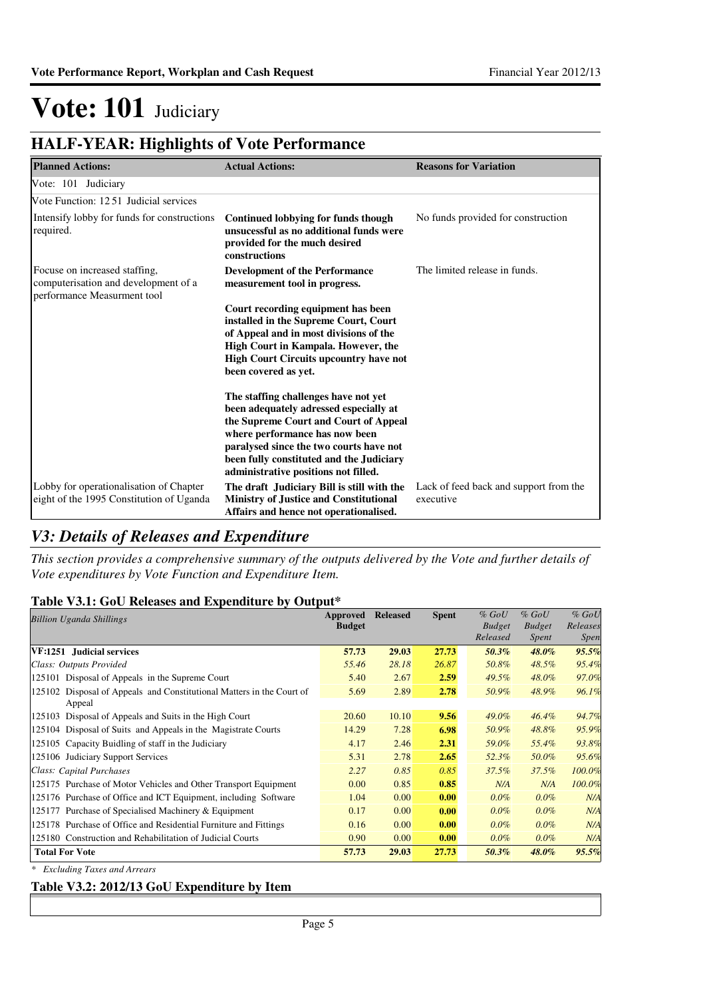### **HALF-YEAR: Highlights of Vote Performance**

| <b>Planned Actions:</b>                                                                              | <b>Actual Actions:</b>                                                                                                                                                                                                                                                                   | <b>Reasons for Variation</b>                        |
|------------------------------------------------------------------------------------------------------|------------------------------------------------------------------------------------------------------------------------------------------------------------------------------------------------------------------------------------------------------------------------------------------|-----------------------------------------------------|
| Vote: 101 Judiciary                                                                                  |                                                                                                                                                                                                                                                                                          |                                                     |
| Vote Function: 1251 Judicial services                                                                |                                                                                                                                                                                                                                                                                          |                                                     |
| Intensify lobby for funds for constructions<br>required.                                             | Continued lobbying for funds though<br>unsucessful as no additional funds were<br>provided for the much desired<br>constructions                                                                                                                                                         | No funds provided for construction                  |
| Focuse on increased staffing,<br>computerisation and development of a<br>performance Measurment tool | <b>Development of the Performance</b><br>measurement tool in progress.                                                                                                                                                                                                                   | The limited release in funds.                       |
|                                                                                                      | Court recording equipment has been<br>installed in the Supreme Court, Court<br>of Appeal and in most divisions of the<br>High Court in Kampala. However, the<br><b>High Court Circuits upcountry have not</b><br>been covered as yet.                                                    |                                                     |
|                                                                                                      | The staffing challenges have not yet<br>been adequately adressed especially at<br>the Supreme Court and Court of Appeal<br>where performance has now been<br>paralysed since the two courts have not<br>been fully constituted and the Judiciary<br>administrative positions not filled. |                                                     |
| Lobby for operationalisation of Chapter<br>eight of the 1995 Constitution of Uganda                  | The draft Judiciary Bill is still with the<br><b>Ministry of Justice and Constitutional</b><br>Affairs and hence not operationalised.                                                                                                                                                    | Lack of feed back and support from the<br>executive |

### *V3: Details of Releases and Expenditure*

*This section provides a comprehensive summary of the outputs delivered by the Vote and further details of Vote expenditures by Vote Function and Expenditure Item.*

### **Table V3.1: GoU Releases and Expenditure by Output\***

| <b>Billion Uganda Shillings</b>                                       | Approved<br><b>Budget</b> | <b>Released</b> | <b>Spent</b> | $%$ GoU<br><b>Budget</b><br>Released | $%$ GoU<br><b>Budget</b><br>Spent | $%$ GoU<br>Releases<br><i>Spen</i> |
|-----------------------------------------------------------------------|---------------------------|-----------------|--------------|--------------------------------------|-----------------------------------|------------------------------------|
| VF:1251 Judicial services                                             | 57.73                     | 29.03           | 27.73        | $50.3\%$                             | $48.0\%$                          | 95.5%                              |
| Class: Outputs Provided                                               | 55.46                     | 28.18           | 26.87        | 50.8%                                | 48.5%                             | 95.4%                              |
| 125101 Disposal of Appeals in the Supreme Court                       | 5.40                      | 2.67            | 2.59         | 49.5%                                | 48.0%                             | 97.0%                              |
| 125102 Disposal of Appeals and Constitutional Matters in the Court of | 5.69                      | 2.89            | 2.78         | 50.9%                                | 48.9%                             | 96.1%                              |
| Appeal                                                                |                           |                 |              |                                      |                                   |                                    |
| 125103 Disposal of Appeals and Suits in the High Court                | 20.60                     | 10.10           | 9.56         | $49.0\%$                             | $46.4\%$                          | 94.7%                              |
| 125104 Disposal of Suits and Appeals in the Magistrate Courts         | 14.29                     | 7.28            | 6.98         | 50.9%                                | 48.8%                             | 95.9%                              |
| 125105 Capacity Buidling of staff in the Judiciary                    | 4.17                      | 2.46            | 2.31         | 59.0%                                | 55.4%                             | 93.8%                              |
| 125106 Judiciary Support Services                                     | 5.31                      | 2.78            | 2.65         | 52.3%                                | 50.0%                             | 95.6%                              |
| Class: Capital Purchases                                              | 2.27                      | 0.85            | 0.85         | $37.5\%$                             | 37.5%                             | 100.0%                             |
| 125175 Purchase of Motor Vehicles and Other Transport Equipment       | 0.00                      | 0.85            | 0.85         | N/A                                  | N/A                               | 100.0%                             |
| 125176 Purchase of Office and ICT Equipment, including Software       | 1.04                      | 0.00            | 0.00         | $0.0\%$                              | $0.0\%$                           | N/A                                |
| 125177 Purchase of Specialised Machinery & Equipment                  | 0.17                      | 0.00            | 0.00         | $0.0\%$                              | $0.0\%$                           | N/A                                |
| 125178 Purchase of Office and Residential Furniture and Fittings      | 0.16                      | 0.00            | 0.00         | $0.0\%$                              | $0.0\%$                           | N/A                                |
| 125180 Construction and Rehabilitation of Judicial Courts             | 0.90                      | 0.00            | 0.00         | $0.0\%$                              | $0.0\%$                           | N/A                                |
| <b>Total For Vote</b>                                                 | 57.73                     | 29.03           | 27.73        | 50.3%                                | $48.0\%$                          | 95.5%                              |

*\* Excluding Taxes and Arrears*

### **Table V3.2: 2012/13 GoU Expenditure by Item**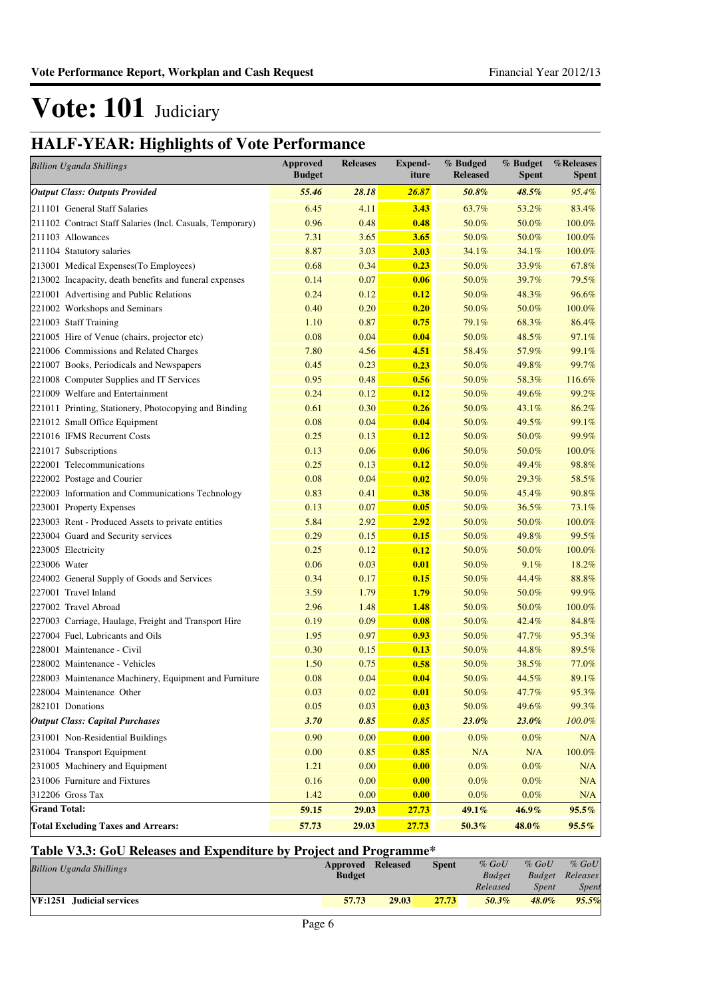### **HALF-YEAR: Highlights of Vote Performance**

| <b>Billion Uganda Shillings</b>                           | <b>Approved</b><br><b>Budget</b> | <b>Releases</b> | <b>Expend-</b><br>iture | % Budged<br><b>Released</b> | % Budget<br><b>Spent</b> | %Releases<br>Spent |
|-----------------------------------------------------------|----------------------------------|-----------------|-------------------------|-----------------------------|--------------------------|--------------------|
| <b>Output Class: Outputs Provided</b>                     | 55.46                            | 28.18           | 26.87                   | 50.8%                       | 48.5%                    | 95.4%              |
| 211101 General Staff Salaries                             | 6.45                             | 4.11            | 3.43                    | 63.7%                       | 53.2%                    | 83.4%              |
| 211102 Contract Staff Salaries (Incl. Casuals, Temporary) | 0.96                             | 0.48            | 0.48                    | 50.0%                       | 50.0%                    | 100.0%             |
| 211103 Allowances                                         | 7.31                             | 3.65            | 3.65                    | 50.0%                       | 50.0%                    | 100.0%             |
| 211104 Statutory salaries                                 | 8.87                             | 3.03            | 3.03                    | 34.1%                       | 34.1%                    | 100.0%             |
| 213001 Medical Expenses(To Employees)                     | 0.68                             | 0.34            | 0.23                    | 50.0%                       | 33.9%                    | 67.8%              |
| 213002 Incapacity, death benefits and funeral expenses    | 0.14                             | 0.07            | 0.06                    | 50.0%                       | 39.7%                    | 79.5%              |
| 221001 Advertising and Public Relations                   | 0.24                             | 0.12            | 0.12                    | 50.0%                       | 48.3%                    | 96.6%              |
| 221002 Workshops and Seminars                             | 0.40                             | 0.20            | 0.20                    | 50.0%                       | 50.0%                    | 100.0%             |
| 221003 Staff Training                                     | 1.10                             | 0.87            | 0.75                    | 79.1%                       | 68.3%                    | 86.4%              |
| 221005 Hire of Venue (chairs, projector etc)              | 0.08                             | 0.04            | 0.04                    | 50.0%                       | 48.5%                    | 97.1%              |
| 221006 Commissions and Related Charges                    | 7.80                             | 4.56            | 4.51                    | 58.4%                       | 57.9%                    | 99.1%              |
| 221007 Books, Periodicals and Newspapers                  | 0.45                             | 0.23            | 0.23                    | 50.0%                       | 49.8%                    | 99.7%              |
| 221008 Computer Supplies and IT Services                  | 0.95                             | 0.48            | 0.56                    | 50.0%                       | 58.3%                    | 116.6%             |
| 221009 Welfare and Entertainment                          | 0.24                             | 0.12            | 0.12                    | 50.0%                       | 49.6%                    | 99.2%              |
| 221011 Printing, Stationery, Photocopying and Binding     | 0.61                             | 0.30            | 0.26                    | 50.0%                       | 43.1%                    | 86.2%              |
| 221012 Small Office Equipment                             | 0.08                             | 0.04            | 0.04                    | 50.0%                       | 49.5%                    | 99.1%              |
| 221016 IFMS Recurrent Costs                               | 0.25                             | 0.13            | 0.12                    | 50.0%                       | 50.0%                    | 99.9%              |
| 221017 Subscriptions                                      | 0.13                             | 0.06            | 0.06                    | 50.0%                       | 50.0%                    | 100.0%             |
| 222001 Telecommunications                                 | 0.25                             | 0.13            | 0.12                    | 50.0%                       | 49.4%                    | 98.8%              |
| 222002 Postage and Courier                                | 0.08                             | 0.04            | 0.02                    | 50.0%                       | 29.3%                    | 58.5%              |
| 222003 Information and Communications Technology          | 0.83                             | 0.41            | 0.38                    | 50.0%                       | 45.4%                    | 90.8%              |
| 223001 Property Expenses                                  | 0.13                             | 0.07            | 0.05                    | 50.0%                       | 36.5%                    | 73.1%              |
| 223003 Rent - Produced Assets to private entities         | 5.84                             | 2.92            | 2.92                    | 50.0%                       | 50.0%                    | 100.0%             |
| 223004 Guard and Security services                        | 0.29                             | 0.15            | 0.15                    | 50.0%                       | 49.8%                    | 99.5%              |
| 223005 Electricity                                        | 0.25                             | 0.12            | 0.12                    | 50.0%                       | 50.0%                    | 100.0%             |
| 223006 Water                                              | 0.06                             | 0.03            | 0.01                    | 50.0%                       | 9.1%                     | 18.2%              |
| 224002 General Supply of Goods and Services               | 0.34                             | 0.17            | 0.15                    | 50.0%                       | 44.4%                    | 88.8%              |
| 227001 Travel Inland                                      | 3.59                             | 1.79            | 1.79                    | 50.0%                       | 50.0%                    | 99.9%              |
| 227002 Travel Abroad                                      | 2.96                             | 1.48            | 1.48                    | 50.0%                       | 50.0%                    | 100.0%             |
| 227003 Carriage, Haulage, Freight and Transport Hire      | 0.19                             | 0.09            | 0.08                    | 50.0%                       | 42.4%                    | 84.8%              |
| 227004 Fuel, Lubricants and Oils                          | 1.95                             | 0.97            | 0.93                    | 50.0%                       | 47.7%                    | 95.3%              |
| 228001 Maintenance - Civil                                | 0.30                             | 0.15            | 0.13                    | 50.0%                       | 44.8%                    | 89.5%              |
| 228002 Maintenance - Vehicles                             | 1.50                             | 0.75            | 0.58                    | 50.0%                       | 38.5%                    | 77.0%              |
| 228003 Maintenance Machinery, Equipment and Furniture     | 0.08                             | 0.04            | 0.04                    | 50.0%                       | 44.5%                    | 89.1%              |
| 228004 Maintenance Other                                  | 0.03                             | 0.02            | 0.01                    | 50.0%                       | 47.7%                    | 95.3%              |
| 282101 Donations                                          | 0.05                             | 0.03            | 0.03                    | 50.0%                       | 49.6%                    | 99.3%              |
| <b>Output Class: Capital Purchases</b>                    | 3.70                             | 0.85            | 0.85                    | $23.0\%$                    | $23.0\%$                 | $100.0\%$          |
| 231001 Non-Residential Buildings                          | 0.90                             | 0.00            | 0.00                    | $0.0\%$                     | $0.0\%$                  | N/A                |
| 231004 Transport Equipment                                | 0.00                             | 0.85            | 0.85                    | N/A                         | N/A                      | 100.0%             |
| 231005 Machinery and Equipment                            | 1.21                             | 0.00            | 0.00                    | $0.0\%$                     | $0.0\%$                  | N/A                |
| 231006 Furniture and Fixtures                             | 0.16                             | 0.00            | 0.00                    | $0.0\%$                     | $0.0\%$                  | N/A                |
| 312206 Gross Tax                                          | 1.42                             | 0.00            | 0.00                    | 0.0%                        | $0.0\%$                  | N/A                |
| <b>Grand Total:</b>                                       | 59.15                            | 29.03           | 27.73                   | 49.1%                       | 46.9%                    | $95.5\%$           |
| <b>Total Excluding Taxes and Arrears:</b>                 | 57.73                            | 29.03           | 27.73                   | 50.3%                       | 48.0%                    | $95.5\%$           |

### **Table V3.3: GoU Releases and Expenditure by Project and Programme\***

| <b>Billion Uganda Shillings</b> | Approved Released |       | <b>Spent</b> | $\%$ GoU      | $%$ GoU  | $%$ GoU                |
|---------------------------------|-------------------|-------|--------------|---------------|----------|------------------------|
|                                 | <b>Budget</b>     |       |              | <b>Budget</b> |          | <b>Budget</b> Releases |
|                                 |                   |       |              | Released      | Spent    | Spent                  |
| VF:1251 Judicial services       | 57.73             | 29.03 | 27.73        | 50.3%         | $48.0\%$ | 95.5%                  |
|                                 |                   |       |              |               |          |                        |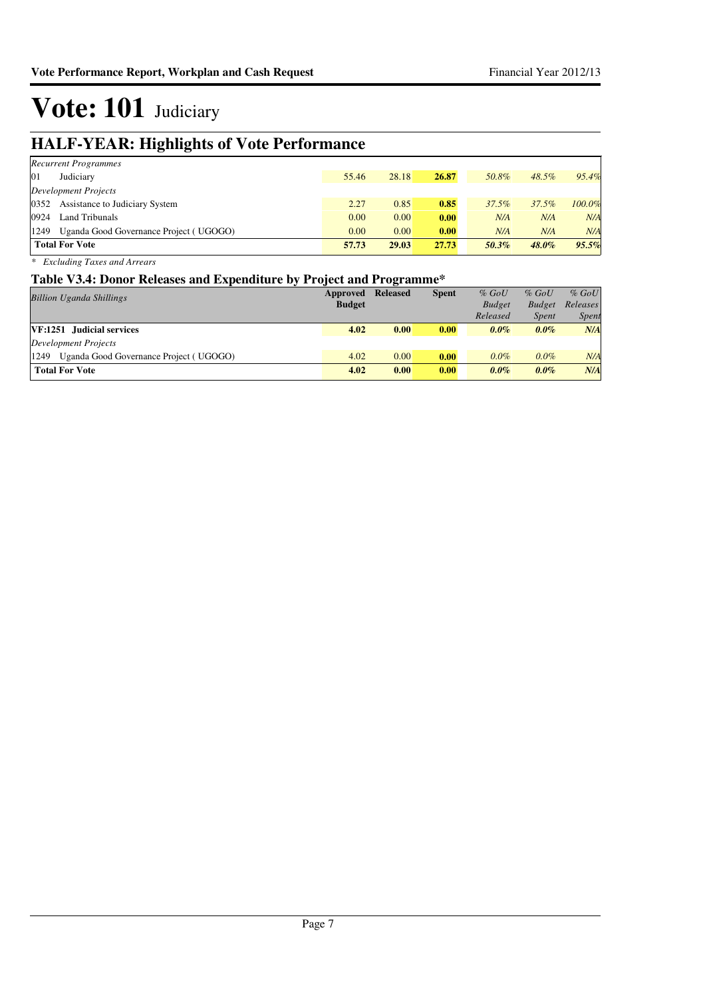### **HALF-YEAR: Highlights of Vote Performance**

| <b>Recurrent Programmes</b>                    |       |       |       |          |          |        |
|------------------------------------------------|-------|-------|-------|----------|----------|--------|
| 01<br>Judiciary                                | 55.46 | 28.18 | 26.87 | 50.8%    | 48.5%    | 95.4%  |
| Development Projects                           |       |       |       |          |          |        |
| 0352 Assistance to Judiciary System            | 2.27  | 0.85  | 0.85  | $37.5\%$ | 37.5%    | 100.0% |
| 0924<br>Land Tribunals                         | 0.00  | 0.00  | 0.00  | N/A      | N/A      | N/A    |
| 1249<br>Uganda Good Governance Project (UGOGO) | 0.00  | 0.00  | 0.00  | N/A      | N/A      | N/A    |
| <b>Total For Vote</b>                          | 57.73 | 29.03 | 27.73 | 50.3%    | $48.0\%$ | 95.5%  |

*\* Excluding Taxes and Arrears*

### **Table V3.4: Donor Releases and Expenditure by Project and Programme\***

| <b>Billion Uganda Shillings</b>                | Approved      | <b>Released</b> | <b>Spent</b> | $%$ GoU       | $%$ GoU       | $%$ GoU      |
|------------------------------------------------|---------------|-----------------|--------------|---------------|---------------|--------------|
|                                                | <b>Budget</b> |                 |              | <b>Budget</b> | <b>Budget</b> | Releases     |
|                                                |               |                 |              | Released      | <b>Spent</b>  | <i>Spent</i> |
| VF:1251 Judicial services                      | 4.02          | 0.00            | 0.00         | $0.0\%$       | $0.0\%$       | N/A          |
| Development Projects                           |               |                 |              |               |               |              |
| 1249<br>Uganda Good Governance Project (UGOGO) | 4.02          | 0.00            | 0.00         | $0.0\%$       | $0.0\%$       | N/A          |
| <b>Total For Vote</b>                          | 4.02          | 0.00            | 0.00         | $0.0\%$       | $0.0\%$       | N/A          |
|                                                |               |                 |              |               |               |              |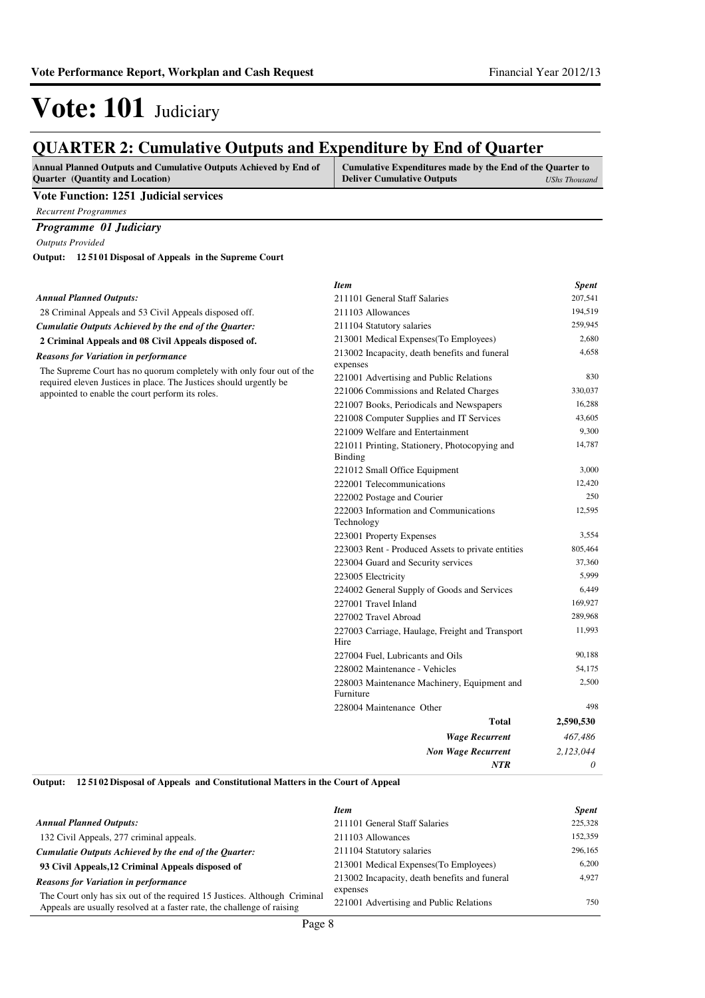### **QUARTER 2: Cumulative Outputs and Expenditure by End of Quarter**

| <b>Annual Planned Outputs and Cumulative Outputs Achieved by End of</b> | Cumulative Expenditures made by the End of the Quarter to |               |
|-------------------------------------------------------------------------|-----------------------------------------------------------|---------------|
| <b>Ouarter</b> (Quantity and Location)                                  | <b>Deliver Cumulative Outputs</b>                         | UShs Thousand |
| the company's company's com-                                            |                                                           |               |

**Vote Function: 1251 Judicial services**

*Recurrent Programmes*

*Programme 01 Judiciary*

*Outputs Provided*

**12 5101 Disposal of Appeals in the Supreme Court Output:**

|                                                                                                                                            | <b>Item</b>                                                     | <b>Spent</b> |
|--------------------------------------------------------------------------------------------------------------------------------------------|-----------------------------------------------------------------|--------------|
| <b>Annual Planned Outputs:</b>                                                                                                             | 211101 General Staff Salaries                                   | 207,541      |
| 28 Criminal Appeals and 53 Civil Appeals disposed off.                                                                                     | 211103 Allowances                                               | 194,519      |
| Cumulatie Outputs Achieved by the end of the Quarter:                                                                                      | 211104 Statutory salaries                                       | 259,945      |
| 2 Criminal Appeals and 08 Civil Appeals disposed of.                                                                                       | 213001 Medical Expenses (To Employees)                          | 2,680        |
| <b>Reasons for Variation in performance</b>                                                                                                | 213002 Incapacity, death benefits and funeral<br>expenses       | 4,658        |
| The Supreme Court has no quorum completely with only four out of the<br>required eleven Justices in place. The Justices should urgently be | 221001 Advertising and Public Relations                         | 830          |
| appointed to enable the court perform its roles.                                                                                           | 221006 Commissions and Related Charges                          | 330,037      |
|                                                                                                                                            | 221007 Books, Periodicals and Newspapers                        | 16,288       |
|                                                                                                                                            | 221008 Computer Supplies and IT Services                        | 43,605       |
|                                                                                                                                            | 221009 Welfare and Entertainment                                | 9,300        |
|                                                                                                                                            | 221011 Printing, Stationery, Photocopying and<br><b>Binding</b> | 14,787       |
|                                                                                                                                            | 221012 Small Office Equipment                                   | 3,000        |
|                                                                                                                                            | 222001 Telecommunications                                       | 12,420       |
|                                                                                                                                            | 222002 Postage and Courier                                      | 250          |
|                                                                                                                                            | 222003 Information and Communications<br>Technology             | 12,595       |
|                                                                                                                                            | 223001 Property Expenses                                        | 3,554        |
|                                                                                                                                            | 223003 Rent - Produced Assets to private entities               | 805,464      |
|                                                                                                                                            | 223004 Guard and Security services                              | 37,360       |
|                                                                                                                                            | 223005 Electricity                                              | 5,999        |
|                                                                                                                                            | 224002 General Supply of Goods and Services                     | 6,449        |
|                                                                                                                                            | 227001 Travel Inland                                            | 169,927      |
|                                                                                                                                            | 227002 Travel Abroad                                            | 289,968      |
|                                                                                                                                            | 227003 Carriage, Haulage, Freight and Transport<br>Hire         | 11,993       |
|                                                                                                                                            | 227004 Fuel, Lubricants and Oils                                | 90,188       |
|                                                                                                                                            | 228002 Maintenance - Vehicles                                   | 54,175       |
|                                                                                                                                            | 228003 Maintenance Machinery, Equipment and<br>Furniture        | 2,500        |
|                                                                                                                                            | 228004 Maintenance Other                                        | 498          |
|                                                                                                                                            | <b>Total</b>                                                    | 2,590,530    |
|                                                                                                                                            | <b>Wage Recurrent</b>                                           | 467,486      |
|                                                                                                                                            | <b>Non Wage Recurrent</b>                                       | 2,123,044    |
|                                                                                                                                            | NTR                                                             | $\theta$     |

#### **12 5102 Disposal of Appeals and Constitutional Matters in the Court of Appeal Output:**

|                                                                                                                                                      | <b>Item</b>                                         | <b>Spent</b> |
|------------------------------------------------------------------------------------------------------------------------------------------------------|-----------------------------------------------------|--------------|
| <b>Annual Planned Outputs:</b>                                                                                                                       | 211101 General Staff Salaries                       | 225,328      |
| 132 Civil Appeals, 277 criminal appeals.                                                                                                             | 211103 Allowances                                   | 152,359      |
| Cumulatie Outputs Achieved by the end of the Ouarter:                                                                                                | 211104 Statutory salaries                           | 296,165      |
| 93 Civil Appeals, 12 Criminal Appeals disposed of                                                                                                    | 213001 Medical Expenses (To Employees)              | 6.200        |
| <b>Reasons for Variation in performance</b>                                                                                                          | 213002 Incapacity, death benefits and funeral       | 4.927        |
| The Court only has six out of the required 15 Justices. Although Criminal<br>Appeals are usually resolved at a faster rate, the challenge of raising | expenses<br>221001 Advertising and Public Relations | 750          |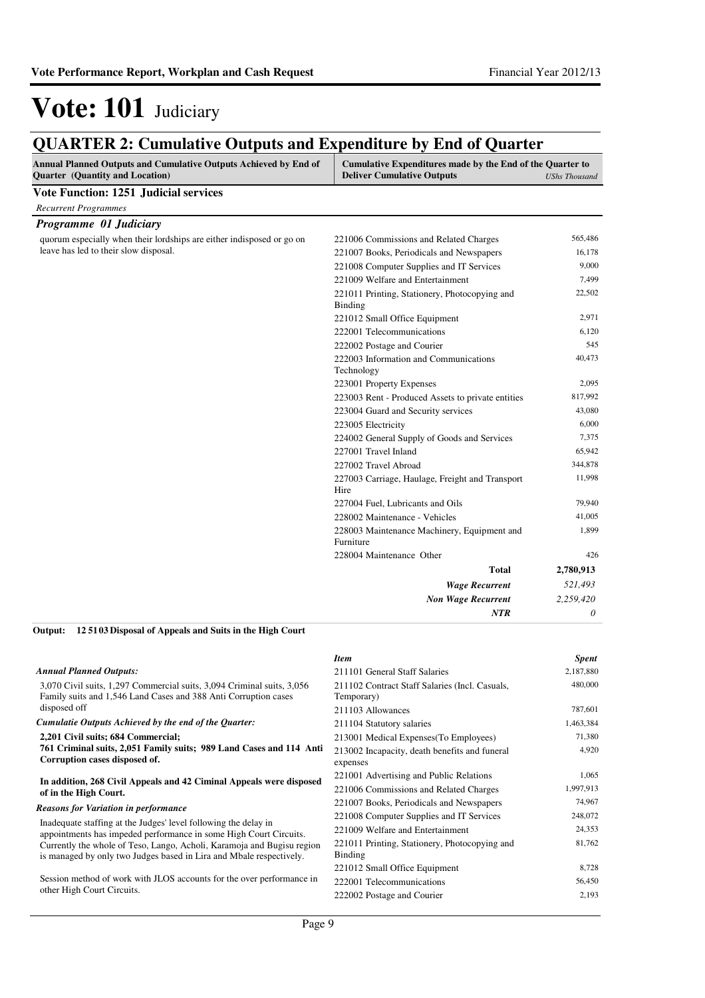### **QUARTER 2: Cumulative Outputs and Expenditure by End of Quarter**

| Annual Planned Outputs and Cumulative Outputs Achieved by End of<br>Quarter (Quantity and Location) | Cumulative Expenditures made by the End of the Quarter to<br><b>Deliver Cumulative Outputs</b> | <b>UShs Thousand</b> |
|-----------------------------------------------------------------------------------------------------|------------------------------------------------------------------------------------------------|----------------------|
| <b>Vote Function: 1251 Judicial services</b>                                                        |                                                                                                |                      |
| <b>Recurrent Programmes</b>                                                                         |                                                                                                |                      |
| Programme 01 Judiciary                                                                              |                                                                                                |                      |
| quorum especially when their lordships are either indisposed or go on                               | 221006 Commissions and Related Charges                                                         | 565,486              |
| leave has led to their slow disposal.                                                               | 221007 Books, Periodicals and Newspapers                                                       | 16,178               |
|                                                                                                     | 221008 Computer Supplies and IT Services                                                       | 9,000                |
|                                                                                                     | 221009 Welfare and Entertainment                                                               | 7,499                |
|                                                                                                     | 221011 Printing, Stationery, Photocopying and<br><b>Binding</b>                                | 22,502               |
|                                                                                                     | 221012 Small Office Equipment                                                                  | 2,971                |
|                                                                                                     | 222001 Telecommunications                                                                      | 6,120                |
|                                                                                                     | 222002 Postage and Courier                                                                     | 545                  |
|                                                                                                     | 222003 Information and Communications                                                          | 40,473               |
|                                                                                                     | Technology                                                                                     |                      |
|                                                                                                     | 223001 Property Expenses                                                                       | 2,095                |
|                                                                                                     | 223003 Rent - Produced Assets to private entities                                              | 817,992              |
|                                                                                                     | 223004 Guard and Security services                                                             | 43,080               |
|                                                                                                     | 223005 Electricity                                                                             | 6,000                |
|                                                                                                     | 224002 General Supply of Goods and Services                                                    | 7,375                |
|                                                                                                     | 227001 Travel Inland                                                                           | 65,942               |
|                                                                                                     | 227002 Travel Abroad                                                                           | 344,878              |
|                                                                                                     | 227003 Carriage, Haulage, Freight and Transport<br>Hire                                        | 11,998               |
|                                                                                                     | 227004 Fuel, Lubricants and Oils                                                               | 79,940               |
|                                                                                                     | 228002 Maintenance - Vehicles                                                                  | 41,005               |
|                                                                                                     | 228003 Maintenance Machinery, Equipment and<br>Furniture                                       | 1,899                |
|                                                                                                     | 228004 Maintenance Other                                                                       | 426                  |
|                                                                                                     | <b>Total</b>                                                                                   | 2,780,913            |
|                                                                                                     | <b>Wage Recurrent</b>                                                                          | 521,493              |
|                                                                                                     | <b>Non Wage Recurrent</b>                                                                      | 2,259,420            |
|                                                                                                     | NTR                                                                                            | 0                    |

#### **12 5103 Disposal of Appeals and Suits in the High Court Output:**

|                                                                                                                                               | <b>Item</b>                                                  | <b>Spent</b> |
|-----------------------------------------------------------------------------------------------------------------------------------------------|--------------------------------------------------------------|--------------|
| <b>Annual Planned Outputs:</b>                                                                                                                | 211101 General Staff Salaries                                | 2,187,880    |
| 3,070 Civil suits, 1,297 Commercial suits, 3,094 Criminal suits, 3,056<br>Family suits and 1,546 Land Cases and 388 Anti Corruption cases     | 211102 Contract Staff Salaries (Incl. Casuals,<br>Temporary) | 480,000      |
| disposed off                                                                                                                                  | 211103 Allowances                                            | 787,601      |
| Cumulatie Outputs Achieved by the end of the Quarter:                                                                                         | 211104 Statutory salaries                                    | 1,463,384    |
| 2,201 Civil suits; 684 Commercial;                                                                                                            | 213001 Medical Expenses (To Employees)                       | 71,380       |
| 761 Criminal suits, 2,051 Family suits; 989 Land Cases and 114 Anti<br>Corruption cases disposed of.                                          | 213002 Incapacity, death benefits and funeral<br>expenses    | 4,920        |
| In addition, 268 Civil Appeals and 42 Ciminal Appeals were disposed                                                                           | 221001 Advertising and Public Relations                      | 1,065        |
| of in the High Court.                                                                                                                         | 221006 Commissions and Related Charges                       | 1,997,913    |
| <b>Reasons for Variation in performance</b>                                                                                                   | 221007 Books, Periodicals and Newspapers                     | 74,967       |
| Inadequate staffing at the Judges' level following the delay in                                                                               | 221008 Computer Supplies and IT Services                     | 248,072      |
| appointments has impeded performance in some High Court Circuits.                                                                             | 221009 Welfare and Entertainment                             | 24,353       |
| Currently the whole of Teso, Lango, Acholi, Karamoja and Bugisu region<br>is managed by only two Judges based in Lira and Mbale respectively. | 221011 Printing, Stationery, Photocopying and<br>Binding     | 81,762       |
|                                                                                                                                               | 221012 Small Office Equipment                                | 8,728        |
| Session method of work with JLOS accounts for the over performance in                                                                         | 222001 Telecommunications                                    | 56,450       |
| other High Court Circuits.                                                                                                                    | 222002 Postage and Courier                                   | 2,193        |
|                                                                                                                                               |                                                              |              |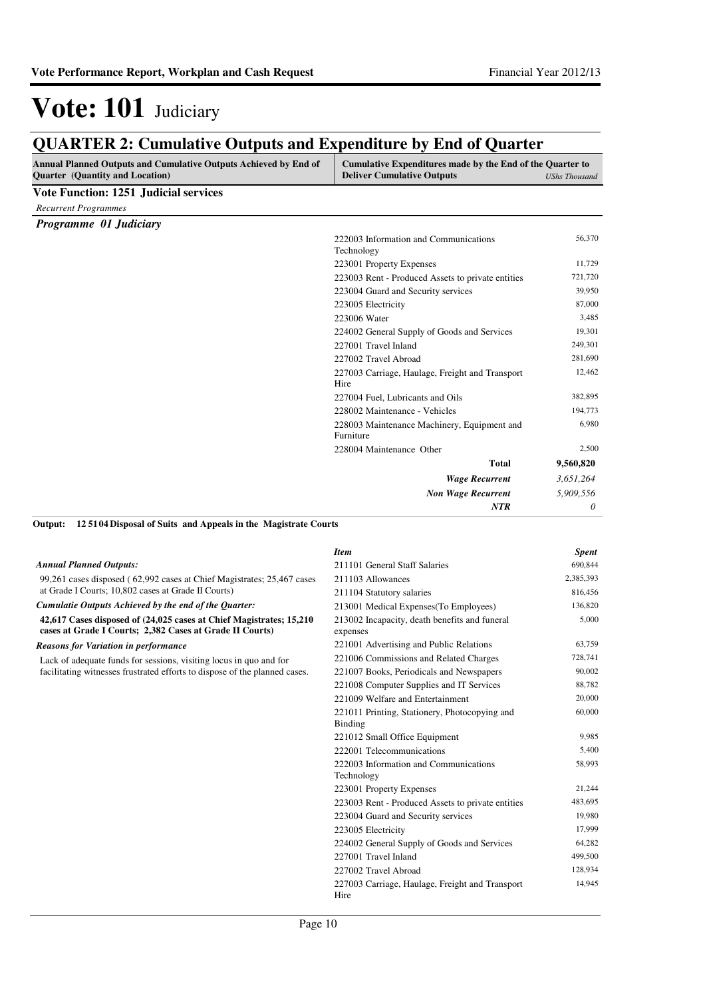### **QUARTER 2: Cumulative Outputs and Expenditure by End of Quarter**

| Annual Planned Outputs and Cumulative Outputs Achieved by End of<br><b>Ouarter</b> (Quantity and Location) | Cumulative Expenditures made by the End of the Quarter to<br><b>Deliver Cumulative Outputs</b> | <b>UShs Thousand</b> |
|------------------------------------------------------------------------------------------------------------|------------------------------------------------------------------------------------------------|----------------------|
| <b>Vote Function: 1251 Judicial services</b>                                                               |                                                                                                |                      |
| <b>Recurrent Programmes</b>                                                                                |                                                                                                |                      |
| Programme 01 Judiciary                                                                                     |                                                                                                |                      |
|                                                                                                            | 222003 Information and Communications<br>Technology                                            | 56,370               |
|                                                                                                            | 223001 Property Expenses                                                                       | 11,729               |
|                                                                                                            | 223003 Rent - Produced Assets to private entities                                              | 721,720              |
|                                                                                                            | 223004 Guard and Security services                                                             | 39,950               |
|                                                                                                            | 223005 Electricity                                                                             | 87,000               |
|                                                                                                            | 223006 Water                                                                                   | 3,485                |
|                                                                                                            | 224002 General Supply of Goods and Services                                                    | 19,301               |
|                                                                                                            | 227001 Travel Inland                                                                           | 249,301              |
|                                                                                                            | 227002 Travel Abroad                                                                           | 281,690              |
|                                                                                                            | 227003 Carriage, Haulage, Freight and Transport<br>Hire                                        | 12,462               |
|                                                                                                            | 227004 Fuel, Lubricants and Oils                                                               | 382,895              |
|                                                                                                            | 228002 Maintenance - Vehicles                                                                  | 194,773              |
|                                                                                                            | 228003 Maintenance Machinery, Equipment and<br>Furniture                                       | 6,980                |
|                                                                                                            | 228004 Maintenance Other                                                                       | 2,500                |
|                                                                                                            | <b>Total</b>                                                                                   | 9,560,820            |
|                                                                                                            | <b>Wage Recurrent</b>                                                                          | 3,651,264            |
|                                                                                                            | <b>Non Wage Recurrent</b>                                                                      | 5,909,556            |
|                                                                                                            | <b>NTR</b>                                                                                     | 0                    |

**12 5104 Disposal of Suits and Appeals in the Magistrate Courts Output:**

|                                                                                                                                   | <b>Item</b>                                               | <b>Spent</b> |
|-----------------------------------------------------------------------------------------------------------------------------------|-----------------------------------------------------------|--------------|
| <b>Annual Planned Outputs:</b>                                                                                                    | 211101 General Staff Salaries                             | 690,844      |
| 99,261 cases disposed (62,992 cases at Chief Magistrates; 25,467 cases                                                            | 211103 Allowances                                         | 2,385,393    |
| at Grade I Courts; 10,802 cases at Grade II Courts)                                                                               | 211104 Statutory salaries                                 | 816,456      |
| Cumulatie Outputs Achieved by the end of the Quarter:                                                                             | 213001 Medical Expenses (To Employees)                    | 136,820      |
| 42,617 Cases disposed of $(24,025$ cases at Chief Magistrates; 15,210<br>cases at Grade I Courts; 2,382 Cases at Grade II Courts) | 213002 Incapacity, death benefits and funeral<br>expenses | 5,000        |
| <b>Reasons for Variation in performance</b>                                                                                       | 221001 Advertising and Public Relations                   | 63,759       |
| Lack of adequate funds for sessions, visiting locus in quo and for                                                                | 221006 Commissions and Related Charges                    | 728,741      |
| facilitating witnesses frustrated efforts to dispose of the planned cases.                                                        | 221007 Books, Periodicals and Newspapers                  | 90,002       |
|                                                                                                                                   | 221008 Computer Supplies and IT Services                  | 88,782       |
|                                                                                                                                   | 221009 Welfare and Entertainment                          | 20,000       |
|                                                                                                                                   | 221011 Printing, Stationery, Photocopying and<br>Binding  | 60,000       |
|                                                                                                                                   | 221012 Small Office Equipment                             | 9,985        |
|                                                                                                                                   | 222001 Telecommunications                                 | 5,400        |
|                                                                                                                                   | 222003 Information and Communications<br>Technology       | 58,993       |
|                                                                                                                                   | 223001 Property Expenses                                  | 21,244       |
|                                                                                                                                   | 223003 Rent - Produced Assets to private entities         | 483,695      |
|                                                                                                                                   | 223004 Guard and Security services                        | 19,980       |
|                                                                                                                                   | 223005 Electricity                                        | 17,999       |
|                                                                                                                                   | 224002 General Supply of Goods and Services               | 64,282       |
|                                                                                                                                   | 227001 Travel Inland                                      | 499,500      |
|                                                                                                                                   | 227002 Travel Abroad                                      | 128,934      |
|                                                                                                                                   | 227003 Carriage, Haulage, Freight and Transport<br>Hire   | 14,945       |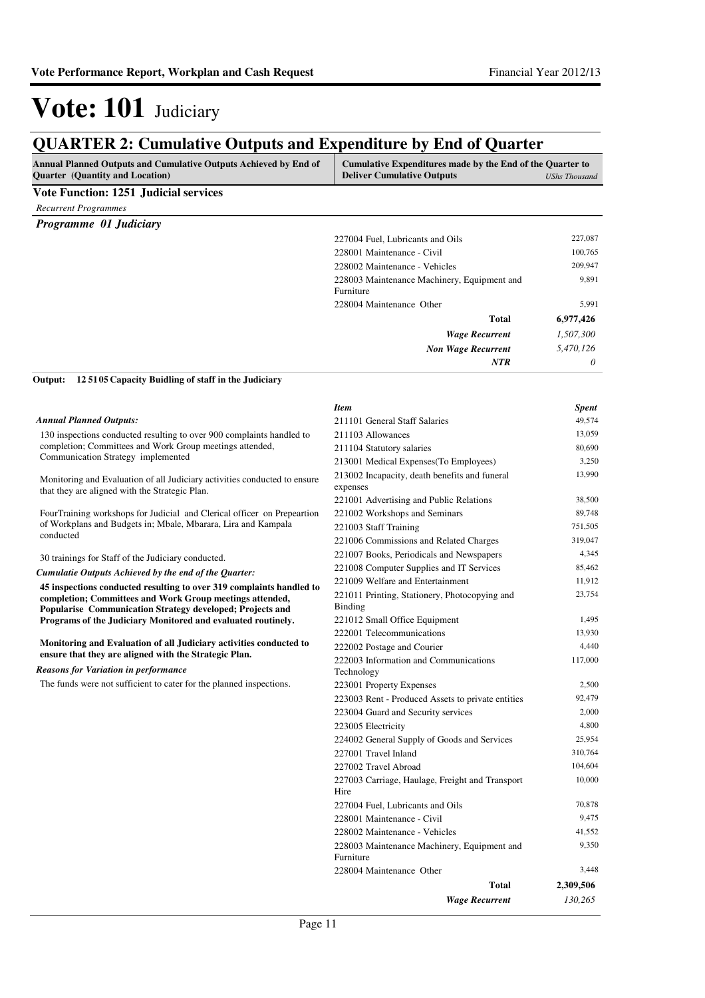### **QUARTER 2: Cumulative Outputs and Expenditure by End of Quarter**

| v charlent st cumumu to cupum und mi<br>$\mathsf{p}\mathsf{unr}\mathsf{unr}\mathsf{v}$ , $\mathsf{unr}\mathsf{v}\mathsf{r}\mathsf{unr}\mathsf{v}\mathsf{u}$ |                                                                                                |                      |
|-------------------------------------------------------------------------------------------------------------------------------------------------------------|------------------------------------------------------------------------------------------------|----------------------|
| <b>Annual Planned Outputs and Cumulative Outputs Achieved by End of</b><br><b>Ouarter</b> (Quantity and Location)                                           | Cumulative Expenditures made by the End of the Quarter to<br><b>Deliver Cumulative Outputs</b> | <b>UShs Thousand</b> |
| <b>Vote Function: 1251 Judicial services</b>                                                                                                                |                                                                                                |                      |
| <b>Recurrent Programmes</b>                                                                                                                                 |                                                                                                |                      |
| <b>Programme 01 Judiciary</b>                                                                                                                               |                                                                                                |                      |
|                                                                                                                                                             | 227004 Fuel, Lubricants and Oils                                                               | 227,087              |
|                                                                                                                                                             | 228001 Maintenance - Civil                                                                     | 100,765              |
|                                                                                                                                                             | 228002 Maintenance - Vehicles                                                                  | 209,947              |
|                                                                                                                                                             | 228003 Maintenance Machinery, Equipment and<br>Furniture                                       | 9,891                |
|                                                                                                                                                             | 228004 Maintenance Other                                                                       | 5,991                |
|                                                                                                                                                             | <b>Total</b>                                                                                   | 6,977,426            |
|                                                                                                                                                             | <b>Wage Recurrent</b>                                                                          | 1,507,300            |
|                                                                                                                                                             | <b>Non Wage Recurrent</b>                                                                      | 5,470,126            |
|                                                                                                                                                             | <b>NTR</b>                                                                                     | 0                    |

#### **12 5105 Capacity Buidling of staff in the Judiciary Output:**

|                                                                                                                             | <b>Item</b>                                               | <b>Spent</b> |
|-----------------------------------------------------------------------------------------------------------------------------|-----------------------------------------------------------|--------------|
| <b>Annual Planned Outputs:</b>                                                                                              | 211101 General Staff Salaries                             | 49,574       |
| 130 inspections conducted resulting to over 900 complaints handled to                                                       | 211103 Allowances                                         | 13,059       |
| completion; Committees and Work Group meetings attended,                                                                    | 211104 Statutory salaries                                 | 80,690       |
| Communication Strategy implemented                                                                                          | 213001 Medical Expenses (To Employees)                    | 3,250        |
| Monitoring and Evaluation of all Judiciary activities conducted to ensure<br>that they are aligned with the Strategic Plan. | 213002 Incapacity, death benefits and funeral<br>expenses | 13,990       |
|                                                                                                                             | 221001 Advertising and Public Relations                   | 38,500       |
| FourTraining workshops for Judicial and Clerical officer on Prepeartion                                                     | 221002 Workshops and Seminars                             | 89,748       |
| of Workplans and Budgets in; Mbale, Mbarara, Lira and Kampala                                                               | 221003 Staff Training                                     | 751,505      |
| conducted                                                                                                                   | 221006 Commissions and Related Charges                    | 319,047      |
| 30 trainings for Staff of the Judiciary conducted.                                                                          | 221007 Books, Periodicals and Newspapers                  | 4,345        |
| Cumulatie Outputs Achieved by the end of the Quarter:                                                                       | 221008 Computer Supplies and IT Services                  | 85,462       |
| 45 inspections conducted resulting to over 319 complaints handled to                                                        | 221009 Welfare and Entertainment                          | 11,912       |
| completion; Committees and Work Group meetings attended,<br>Popularise Communication Strategy developed; Projects and       | 221011 Printing, Stationery, Photocopying and<br>Binding  | 23,754       |
| Programs of the Judiciary Monitored and evaluated routinely.                                                                | 221012 Small Office Equipment                             | 1,495        |
|                                                                                                                             | 222001 Telecommunications                                 | 13,930       |
| Monitoring and Evaluation of all Judiciary activities conducted to                                                          | 222002 Postage and Courier                                | 4,440        |
| ensure that they are aligned with the Strategic Plan.<br><b>Reasons for Variation in performance</b>                        | 222003 Information and Communications<br>Technology       | 117,000      |
| The funds were not sufficient to cater for the planned inspections.                                                         | 223001 Property Expenses                                  | 2,500        |
|                                                                                                                             | 223003 Rent - Produced Assets to private entities         | 92,479       |
|                                                                                                                             | 223004 Guard and Security services                        | 2,000        |
|                                                                                                                             | 223005 Electricity                                        | 4,800        |
|                                                                                                                             | 224002 General Supply of Goods and Services               | 25,954       |
|                                                                                                                             | 227001 Travel Inland                                      | 310,764      |
|                                                                                                                             | 227002 Travel Abroad                                      | 104,604      |
|                                                                                                                             | 227003 Carriage, Haulage, Freight and Transport<br>Hire   | 10,000       |
|                                                                                                                             | 227004 Fuel, Lubricants and Oils                          | 70,878       |
|                                                                                                                             | 228001 Maintenance - Civil                                | 9,475        |
|                                                                                                                             | 228002 Maintenance - Vehicles                             | 41,552       |
|                                                                                                                             | 228003 Maintenance Machinery, Equipment and<br>Furniture  | 9,350        |
|                                                                                                                             | 228004 Maintenance Other                                  | 3,448        |
|                                                                                                                             | <b>Total</b>                                              | 2,309,506    |
|                                                                                                                             | <b>Wage Recurrent</b>                                     | 130,265      |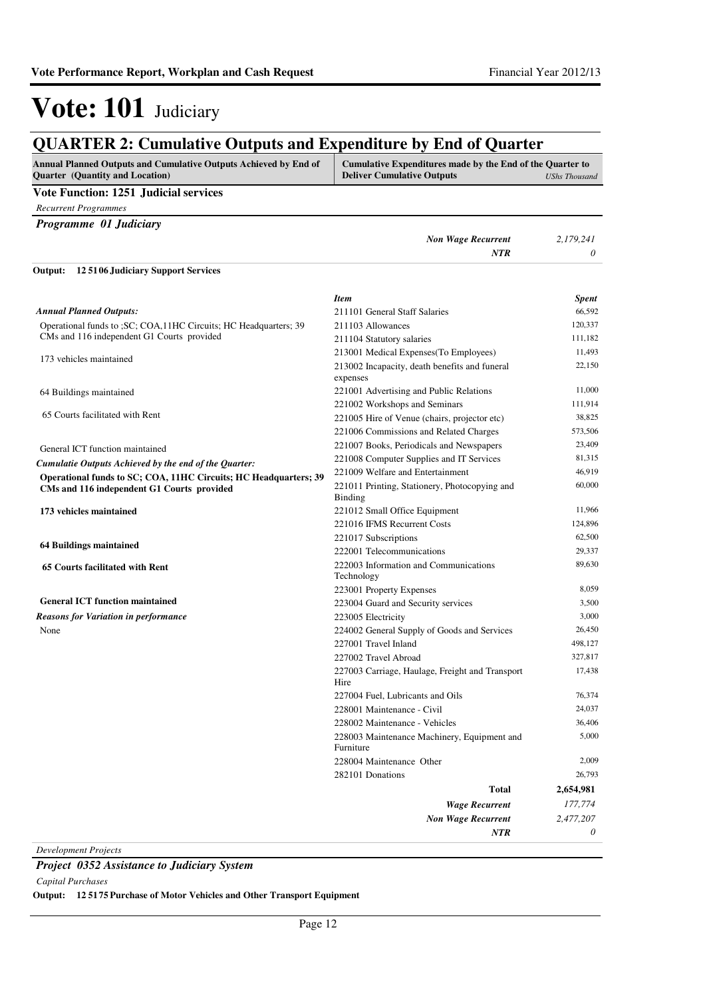#### **QUARTER 2: Cumulative Outputs and Expenditure by End of Quarter Annual Planned Outputs and Cumulative Outputs Achieved by End of Quarter (Quantity and Location) Cumulative Expenditures made by the End of the Quarter to Deliver Cumulative Outputs** *UShs Thousand* **Vote Function: 1251 Judicial services** *Recurrent Programmes Programme 01 Judiciary Non Wage Recurrent 2,179,241 NTR 0* Operational funds to ;SC; COA,11HC Circuits; HC Headquarters; 39 CMs and 116 independent G1 Courts provided 173 vehicles maintained 64 Buildings maintained 65 Courts facilitated with Rent General ICT function maintained **Operational funds to SC; COA, 11HC Circuits; HC Headquarters; 39 CMs and 116 independent G1 Courts provided 173 vehicles maintained 64 Buildings maintained 65 Courts facilitated with Rent General ICT function maintained 12 5106 Judiciary Support Services Output:** *Wage Recurrent Non Wage Recurrent* **Total** *177,774 2,477,207 0* **2,654,981** *Cumulatie Outputs Achieved by the end of the Quarter: Annual Planned Outputs: NTR* None *Reasons for Variation in performance Item Spent* 211101 General Staff Salaries 66,592 211103 Allowances 120,337 211104 Statutory salaries 111,182 213001 Medical Expenses(To Employees) 11,493 213002 Incapacity, death benefits and funeral expenses 22,150 221001 Advertising and Public Relations 11,000 221002 Workshops and Seminars 111,914 221005 Hire of Venue (chairs, projector etc) 38,825 221006 Commissions and Related Charges 573,506 221007 Books, Periodicals and Newspapers 23,409 221008 Computer Supplies and IT Services 81,315 221009 Welfare and Entertainment 46,919 221011 Printing, Stationery, Photocopying and Binding 60,000 221012 Small Office Equipment 11,966 221016 IFMS Recurrent Costs 124,896 221017 Subscriptions 62,500 222001 Telecommunications 29,337 222003 Information and Communications Technology 89,630 223001 Property Expenses 8,059 223004 Guard and Security services 3,500 223005 Electricity 3,000 224002 General Supply of Goods and Services 26,450 227001 Travel Inland 498,127 227002 Travel Abroad 327,817 227003 Carriage, Haulage, Freight and Transport Hire 17,438 227004 Fuel, Lubricants and Oils 76,374 228001 Maintenance - Civil 24,037 228002 Maintenance - Vehicles 36,406 228003 Maintenance Machinery, Equipment and Furniture 5,000 228004 Maintenance Other 2,009 282101 Donations 26,793

*Development Projects*

*Project 0352 Assistance to Judiciary System*

*Capital Purchases*

**Output: 12 5175 Purchase of Motor Vehicles and Other Transport Equipment**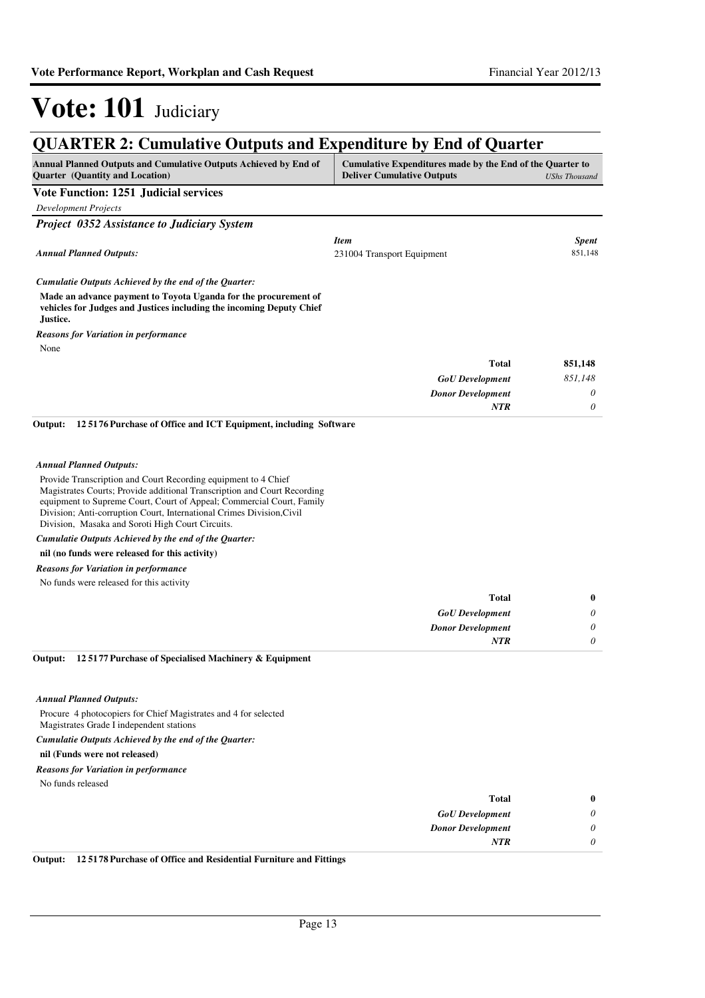#### **QUARTER 2: Cumulative Outputs and Expenditure by End of Quarter Annual Planned Outputs and Cumulative Outputs Achieved by End of Quarter (Quantity and Location) Cumulative Expenditures made by the End of the Quarter to Deliver Cumulative Outputs** *UShs Thousand* **Vote Function: 1251 Judicial services** *Development Projects Project 0352 Assistance to Judiciary System* **Made an advance payment to Toyota Uganda for the procurement of vehicles for Judges and Justices including the incoming Deputy Chief Justice.** *GoU Development Donor Development* **Total** *851,148 0 0* **851,148** *Cumulatie Outputs Achieved by the end of the Quarter: Annual Planned Outputs: NTR* None *Reasons for Variation in performance Item Spent* 231004 Transport Equipment 851,148 Provide Transcription and Court Recording equipment to 4 Chief Magistrates Courts; Provide additional Transcription and Court Recording equipment to Supreme Court, Court of Appeal; Commercial Court, Family Division; Anti-corruption Court, International Crimes Division,Civil Division, Masaka and Soroti High Court Circuits. **nil (no funds were released for this activity) 12 5176 Purchase of Office and ICT Equipment, including Software Output:** *GoU Development Donor Development* **Total** *0 0 0* **0** *Cumulatie Outputs Achieved by the end of the Quarter: Annual Planned Outputs: NTR* No funds were released for this activity *Reasons for Variation in performance* Procure 4 photocopiers for Chief Magistrates and 4 for selected Magistrates Grade I independent stations **nil (Funds were not released) 12 5177 Purchase of Specialised Machinery & Equipment Output:** *Cumulatie Outputs Achieved by the end of the Quarter: Annual Planned Outputs: Reasons for Variation in performance*

No funds released

| $\bf{0}$ | Total                    |
|----------|--------------------------|
| 0        | <b>GoU</b> Development   |
| 0        | <b>Donor Development</b> |
| 0        | <b>NTR</b>               |
|          |                          |

**Output: 12 5178 Purchase of Office and Residential Furniture and Fittings**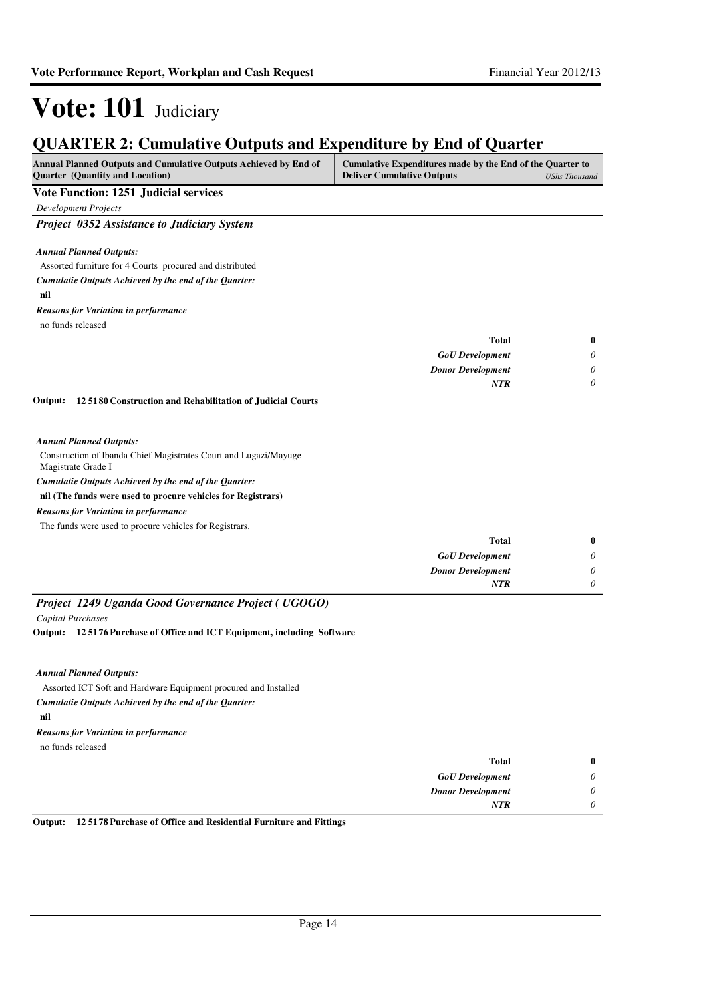*0 0 0*

# Vote: 101 Judiciary

| <b>QUARTER 2: Cumulative Outputs and Expenditure by End of Quarter</b>                                     |                                                                                                |                      |
|------------------------------------------------------------------------------------------------------------|------------------------------------------------------------------------------------------------|----------------------|
| <b>Annual Planned Outputs and Cumulative Outputs Achieved by End of</b><br>Quarter (Quantity and Location) | Cumulative Expenditures made by the End of the Quarter to<br><b>Deliver Cumulative Outputs</b> | <b>UShs Thousand</b> |
| <b>Vote Function: 1251 Judicial services</b>                                                               |                                                                                                |                      |
| <b>Development Projects</b>                                                                                |                                                                                                |                      |
| Project 0352 Assistance to Judiciary System                                                                |                                                                                                |                      |
| <b>Annual Planned Outputs:</b>                                                                             |                                                                                                |                      |
| Assorted furniture for 4 Courts procured and distributed                                                   |                                                                                                |                      |
| Cumulatie Outputs Achieved by the end of the Quarter:                                                      |                                                                                                |                      |
| nil                                                                                                        |                                                                                                |                      |
| <b>Reasons for Variation in performance</b>                                                                |                                                                                                |                      |
| no funds released                                                                                          |                                                                                                |                      |
|                                                                                                            | <b>Total</b>                                                                                   | $\bf{0}$             |
|                                                                                                            | <b>GoU</b> Development                                                                         | 0                    |
|                                                                                                            | <b>Donor Development</b>                                                                       | 0                    |
|                                                                                                            | <b>NTR</b>                                                                                     | 0                    |
| 125180 Construction and Rehabilitation of Judicial Courts<br>Output:                                       |                                                                                                |                      |
| <b>Annual Planned Outputs:</b>                                                                             |                                                                                                |                      |
| Construction of Ibanda Chief Magistrates Court and Lugazi/Mayuge<br>Magistrate Grade I                     |                                                                                                |                      |
| Cumulatie Outputs Achieved by the end of the Quarter:                                                      |                                                                                                |                      |
| nil (The funds were used to procure vehicles for Registrars)                                               |                                                                                                |                      |
| <b>Reasons for Variation in performance</b>                                                                |                                                                                                |                      |
| The funds were used to procure vehicles for Registrars.                                                    |                                                                                                |                      |
|                                                                                                            | <b>Total</b>                                                                                   | $\bf{0}$             |

|                                                     | <b>GoU</b> Development   |  |
|-----------------------------------------------------|--------------------------|--|
|                                                     | <b>Donor Development</b> |  |
|                                                     | <b>NTR</b>               |  |
| Project 1249 Uganda Good Governance Project (UGOGO) |                          |  |

*Capital Purchases*

**12 5176 Purchase of Office and ICT Equipment, including Software Output:**

*Annual Planned Outputs:*

Assorted ICT Soft and Hardware Equipment procured and Installed

*Cumulatie Outputs Achieved by the end of the Quarter:*

**nil**

*Reasons for Variation in performance*

no funds released

| $\bf{0}$ | <b>Total</b>             |
|----------|--------------------------|
| 0        | <b>GoU</b> Development   |
| 0        | <b>Donor Development</b> |
| 0        | NTR                      |
|          |                          |

**Output: 12 5178 Purchase of Office and Residential Furniture and Fittings**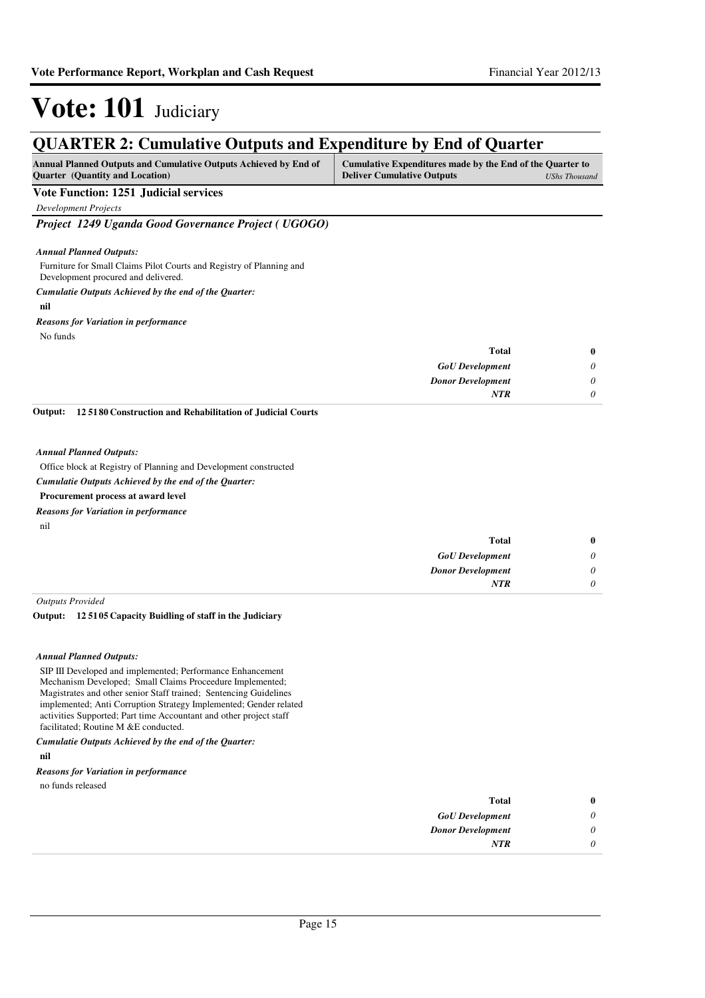### **QUARTER 2: Cumulative Outputs and Expenditure by End of Quarter**

| <b>Annual Planned Outputs and Cumulative Outputs Achieved by End of</b> | Cumulative Expenditures made by the End of the Quarter to |               |
|-------------------------------------------------------------------------|-----------------------------------------------------------|---------------|
| <b>Quarter</b> (Quantity and Location)                                  | <b>Deliver Cumulative Outputs</b>                         | UShs Thousand |

#### **Vote Function: 1251 Judicial services**

*Development Projects*

*Project 1249 Uganda Good Governance Project ( UGOGO)*

#### *Annual Planned Outputs:*

Furniture for Small Claims Pilot Courts and Registry of Planning and Development procured and delivered.

### *Cumulatie Outputs Achieved by the end of the Quarter:*

#### **nil**

*Reasons for Variation in performance*

No funds

| $\bf{0}$ | <b>Total</b>             |
|----------|--------------------------|
| 0        | <b>GoU</b> Development   |
| 0        | <b>Donor Development</b> |
| 0        | <b>NTR</b>               |

**12 5180 Construction and Rehabilitation of Judicial Courts Output:**

#### *Annual Planned Outputs:*

Office block at Registry of Planning and Development constructed

#### *Cumulatie Outputs Achieved by the end of the Quarter:*

### **Procurement process at award level**

*Reasons for Variation in performance*

| nil |  |  |  |
|-----|--|--|--|
|     |  |  |  |

| 0 | Total                    |
|---|--------------------------|
| 0 | <b>GoU</b> Development   |
| υ | <b>Donor Development</b> |
|   | <b>NTR</b>               |
|   |                          |

*Outputs Provided*

#### **12 5105 Capacity Buidling of staff in the Judiciary Output:**

#### *Annual Planned Outputs:*

SIP III Developed and implemented; Performance Enhancement Mechanism Developed; Small Claims Proceedure Implemented; Magistrates and other senior Staff trained; Sentencing Guidelines implemented; Anti Corruption Strategy Implemented; Gender related activities Supported; Part time Accountant and other project staff facilitated; Routine M &E conducted.

*Cumulatie Outputs Achieved by the end of the Quarter:*

#### **nil**

#### *Reasons for Variation in performance*

no funds released

| $\bf{0}$ | <b>Total</b>             |
|----------|--------------------------|
| 0        | <b>GoU</b> Development   |
| $\theta$ | <b>Donor Development</b> |
| 0        | <b>NTR</b>               |
|          |                          |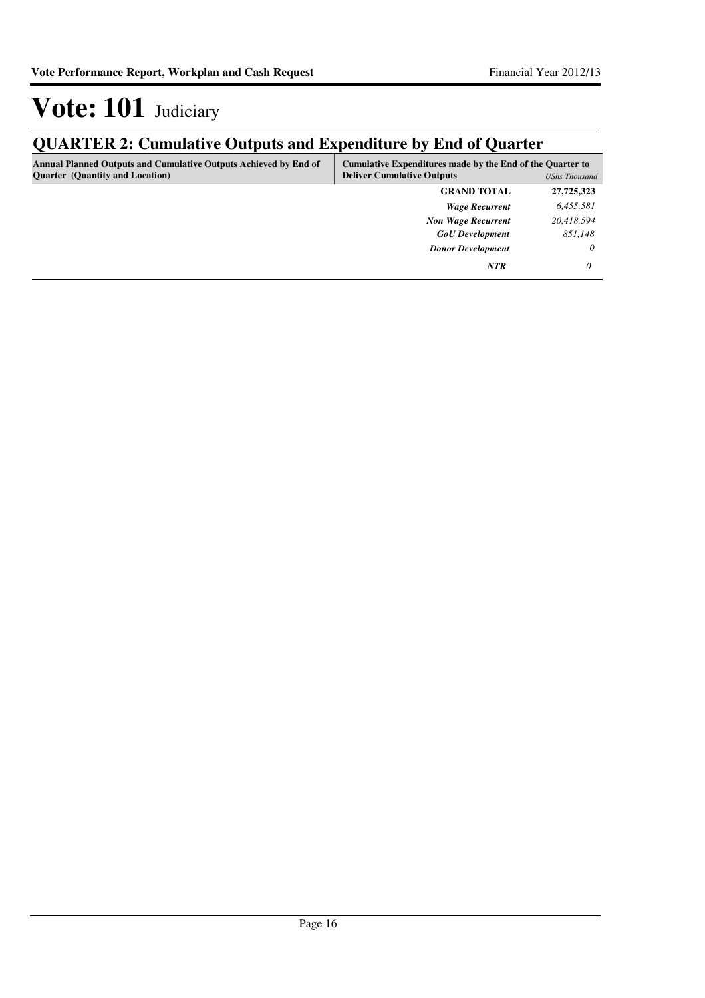# **QUARTER 2: Cumulative Outputs and Expenditure by End of Quarter**

| <b>Annual Planned Outputs and Cumulative Outputs Achieved by End of</b><br><b>Quarter</b> (Quantity and Location) | Cumulative Expenditures made by the End of the Quarter to<br><b>Deliver Cumulative Outputs</b><br>UShs Thousand |            |
|-------------------------------------------------------------------------------------------------------------------|-----------------------------------------------------------------------------------------------------------------|------------|
|                                                                                                                   | <b>GRAND TOTAL</b>                                                                                              | 27,725,323 |
|                                                                                                                   | <b>Wage Recurrent</b>                                                                                           | 6,455,581  |
|                                                                                                                   | <b>Non Wage Recurrent</b>                                                                                       | 20,418,594 |
|                                                                                                                   | <b>GoU</b> Development                                                                                          | 851,148    |
|                                                                                                                   | <b>Donor Development</b>                                                                                        | 0          |
|                                                                                                                   | <b>NTR</b>                                                                                                      | 0          |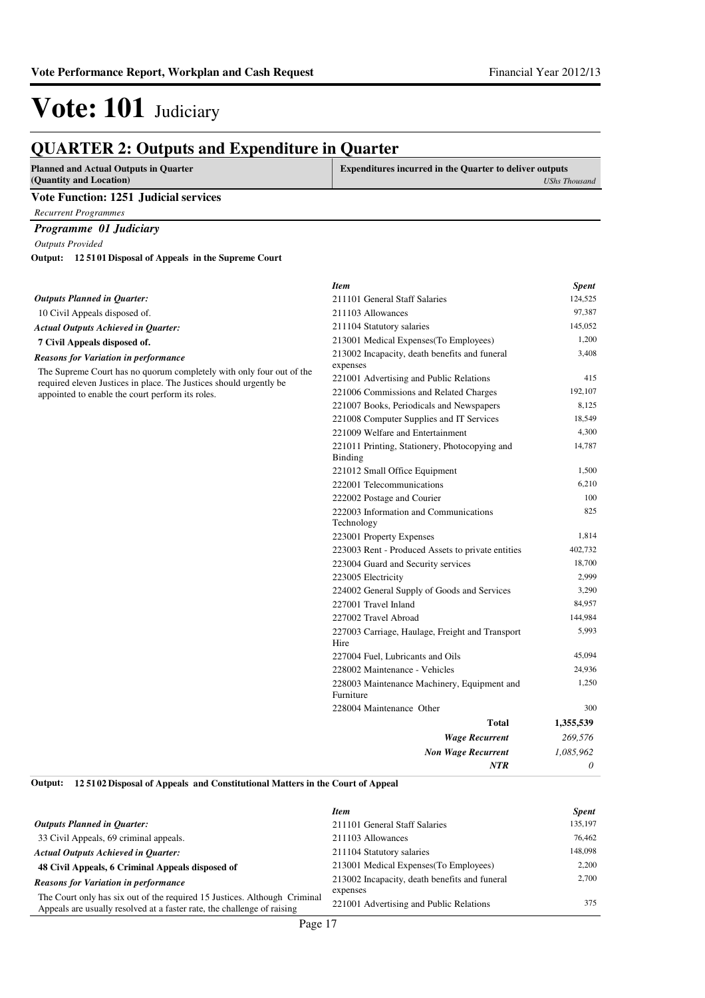*UShs Thousand*

## Vote: 101 Judiciary

#### **QUARTER 2: Outputs and Expenditure in Quarter Planned and Actual Outputs in Quarter (Quantity and Location) Expenditures incurred in the Quarter to deliver outputs**

#### **Vote Function: 1251 Judicial services**

*Recurrent Programmes*

### *Programme 01 Judiciary*

*Outputs Provided*

**12 5101 Disposal of Appeals in the Supreme Court Output:**

|                                                                                                                                            | <b>Item</b>                                               | <b>Spent</b> |
|--------------------------------------------------------------------------------------------------------------------------------------------|-----------------------------------------------------------|--------------|
| <b>Outputs Planned in Quarter:</b>                                                                                                         | 211101 General Staff Salaries                             | 124,525      |
| 10 Civil Appeals disposed of.                                                                                                              | 211103 Allowances                                         | 97,387       |
| <b>Actual Outputs Achieved in Quarter:</b>                                                                                                 | 211104 Statutory salaries                                 | 145,052      |
| 7 Civil Appeals disposed of.                                                                                                               | 213001 Medical Expenses (To Employees)                    | 1,200        |
| <b>Reasons for Variation in performance</b>                                                                                                | 213002 Incapacity, death benefits and funeral<br>expenses | 3,408        |
| The Supreme Court has no quorum completely with only four out of the<br>required eleven Justices in place. The Justices should urgently be | 221001 Advertising and Public Relations                   | 415          |
| appointed to enable the court perform its roles.                                                                                           | 221006 Commissions and Related Charges                    | 192,107      |
|                                                                                                                                            | 221007 Books, Periodicals and Newspapers                  | 8,125        |
|                                                                                                                                            | 221008 Computer Supplies and IT Services                  | 18,549       |
|                                                                                                                                            | 221009 Welfare and Entertainment                          | 4,300        |
|                                                                                                                                            | 221011 Printing, Stationery, Photocopying and<br>Binding  | 14,787       |
|                                                                                                                                            | 221012 Small Office Equipment                             | 1,500        |
|                                                                                                                                            | 222001 Telecommunications                                 | 6,210        |
|                                                                                                                                            | 222002 Postage and Courier                                | 100          |
|                                                                                                                                            | 222003 Information and Communications<br>Technology       | 825          |
|                                                                                                                                            | 223001 Property Expenses                                  | 1,814        |
|                                                                                                                                            | 223003 Rent - Produced Assets to private entities         | 402.732      |
|                                                                                                                                            | 223004 Guard and Security services                        | 18,700       |
|                                                                                                                                            | 223005 Electricity                                        | 2,999        |
|                                                                                                                                            | 224002 General Supply of Goods and Services               | 3,290        |
|                                                                                                                                            | 227001 Travel Inland                                      | 84,957       |
|                                                                                                                                            | 227002 Travel Abroad                                      | 144,984      |
|                                                                                                                                            | 227003 Carriage, Haulage, Freight and Transport<br>Hire   | 5,993        |
|                                                                                                                                            | 227004 Fuel, Lubricants and Oils                          | 45,094       |
|                                                                                                                                            | 228002 Maintenance - Vehicles                             | 24,936       |
|                                                                                                                                            | 228003 Maintenance Machinery, Equipment and<br>Furniture  | 1,250        |
|                                                                                                                                            | 228004 Maintenance Other                                  | 300          |
|                                                                                                                                            | Total                                                     | 1,355,539    |
|                                                                                                                                            | <b>Wage Recurrent</b>                                     | 269,576      |
|                                                                                                                                            | <b>Non Wage Recurrent</b>                                 | 1,085,962    |
|                                                                                                                                            | <b>NTR</b>                                                | $\theta$     |

**12 5102 Disposal of Appeals and Constitutional Matters in the Court of Appeal Output:**

|                                                                           | <b>Item</b>                                   | <b>Spent</b> |
|---------------------------------------------------------------------------|-----------------------------------------------|--------------|
| <b>Outputs Planned in Ouarter:</b>                                        | 211101 General Staff Salaries                 | 135,197      |
| 33 Civil Appeals, 69 criminal appeals.                                    | 211103 Allowances                             | 76,462       |
| <b>Actual Outputs Achieved in Ouarter:</b>                                | 211104 Statutory salaries                     | 148,098      |
| 48 Civil Appeals, 6 Criminal Appeals disposed of                          | 213001 Medical Expenses (To Employees)        | 2.200        |
| <b>Reasons for Variation in performance</b>                               | 213002 Incapacity, death benefits and funeral | 2.700        |
| The Court only has six out of the required 15 Justices. Although Criminal | expenses                                      |              |
| Appeals are usually resolved at a faster rate, the challenge of raising   | 221001 Advertising and Public Relations       | 375          |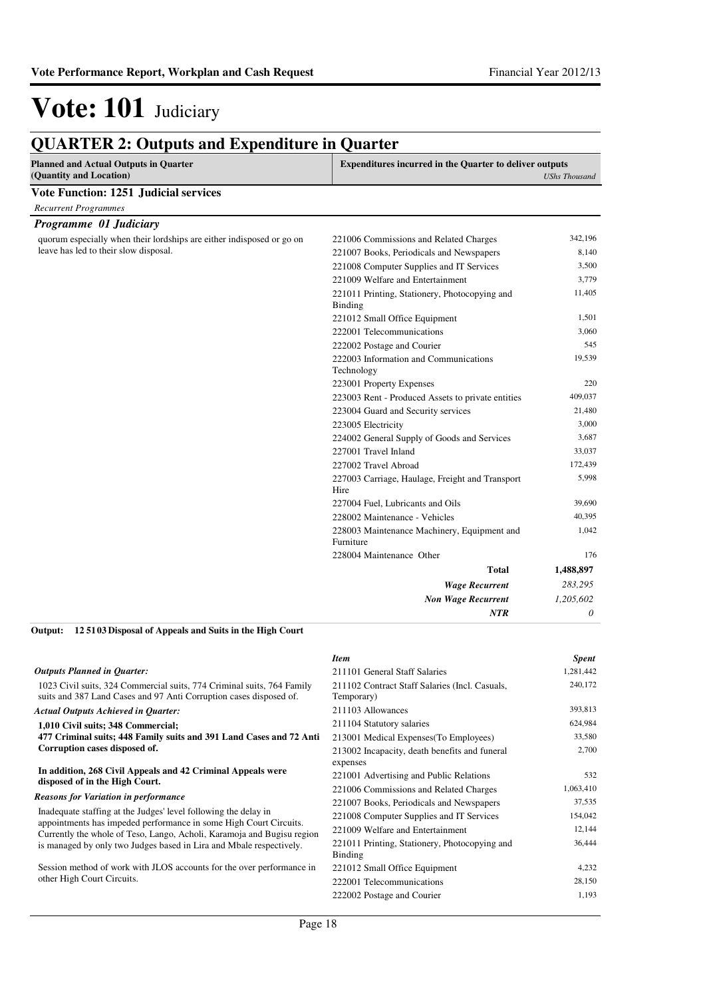| <b>Planned and Actual Outputs in Quarter</b><br>(Quantity and Location) | <b>Expenditures incurred in the Quarter to deliver outputs</b><br><b>UShs Thousand</b> |           |
|-------------------------------------------------------------------------|----------------------------------------------------------------------------------------|-----------|
| <b>Vote Function: 1251 Judicial services</b>                            |                                                                                        |           |
| <b>Recurrent Programmes</b>                                             |                                                                                        |           |
| Programme 01 Judiciary                                                  |                                                                                        |           |
| quorum especially when their lordships are either indisposed or go on   | 221006 Commissions and Related Charges                                                 | 342,196   |
| leave has led to their slow disposal.                                   | 221007 Books, Periodicals and Newspapers                                               | 8,140     |
|                                                                         | 221008 Computer Supplies and IT Services                                               | 3,500     |
|                                                                         | 221009 Welfare and Entertainment                                                       | 3,779     |
|                                                                         | 221011 Printing, Stationery, Photocopying and<br>Binding                               | 11,405    |
|                                                                         | 221012 Small Office Equipment                                                          | 1,501     |
|                                                                         | 222001 Telecommunications                                                              | 3,060     |
|                                                                         | 222002 Postage and Courier                                                             | 545       |
|                                                                         | 222003 Information and Communications<br>Technology                                    | 19,539    |
|                                                                         | 223001 Property Expenses                                                               | 220       |
|                                                                         | 223003 Rent - Produced Assets to private entities                                      | 409,037   |
|                                                                         | 223004 Guard and Security services                                                     | 21,480    |
|                                                                         | 223005 Electricity                                                                     | 3,000     |
|                                                                         | 224002 General Supply of Goods and Services                                            | 3,687     |
|                                                                         | 227001 Travel Inland                                                                   | 33,037    |
|                                                                         | 227002 Travel Abroad                                                                   | 172,439   |
|                                                                         | 227003 Carriage, Haulage, Freight and Transport<br>Hire                                | 5,998     |
|                                                                         | 227004 Fuel, Lubricants and Oils                                                       | 39,690    |
|                                                                         | 228002 Maintenance - Vehicles                                                          | 40,395    |
|                                                                         | 228003 Maintenance Machinery, Equipment and<br>Furniture                               | 1,042     |
|                                                                         | 228004 Maintenance Other                                                               | 176       |
|                                                                         | Total                                                                                  | 1,488,897 |
|                                                                         | <b>Wage Recurrent</b>                                                                  | 283,295   |
|                                                                         | <b>Non Wage Recurrent</b>                                                              | 1,205,602 |
|                                                                         | <b>NTR</b>                                                                             | 0         |

#### **12 5103 Disposal of Appeals and Suits in the High Court Output:**

|                                                                                                                                              | <b>Item</b>                                                  | <b>Spent</b> |
|----------------------------------------------------------------------------------------------------------------------------------------------|--------------------------------------------------------------|--------------|
| <b>Outputs Planned in Quarter:</b>                                                                                                           | 211101 General Staff Salaries                                | 1,281,442    |
| 1023 Civil suits, 324 Commercial suits, 774 Criminal suits, 764 Family<br>suits and 387 Land Cases and 97 Anti Corruption cases disposed of. | 211102 Contract Staff Salaries (Incl. Casuals,<br>Temporary) | 240,172      |
| <b>Actual Outputs Achieved in Quarter:</b>                                                                                                   | 211103 Allowances                                            | 393,813      |
| 1,010 Civil suits; 348 Commercial;                                                                                                           | 211104 Statutory salaries                                    | 624,984      |
| 477 Criminal suits; 448 Family suits and 391 Land Cases and 72 Anti                                                                          | 213001 Medical Expenses (To Employees)                       | 33,580       |
| Corruption cases disposed of.                                                                                                                | 213002 Incapacity, death benefits and funeral                | 2,700        |
|                                                                                                                                              | expenses                                                     |              |
| In addition, 268 Civil Appeals and 42 Criminal Appeals were<br>disposed of in the High Court.                                                | 221001 Advertising and Public Relations                      | 532          |
|                                                                                                                                              | 221006 Commissions and Related Charges                       | 1,063,410    |
| <b>Reasons for Variation in performance</b>                                                                                                  | 221007 Books, Periodicals and Newspapers                     | 37,535       |
| Inadequate staffing at the Judges' level following the delay in<br>appointments has impeded performance in some High Court Circuits.         | 221008 Computer Supplies and IT Services                     | 154,042      |
| Currently the whole of Teso, Lango, Acholi, Karamoja and Bugisu region                                                                       | 221009 Welfare and Entertainment                             | 12,144       |
| is managed by only two Judges based in Lira and Mbale respectively.                                                                          | 221011 Printing, Stationery, Photocopying and<br>Binding     | 36,444       |
| Session method of work with JLOS accounts for the over performance in                                                                        | 221012 Small Office Equipment                                | 4,232        |
| other High Court Circuits.                                                                                                                   | 222001 Telecommunications                                    | 28,150       |
|                                                                                                                                              | 222002 Postage and Courier                                   | 1,193        |
|                                                                                                                                              |                                                              |              |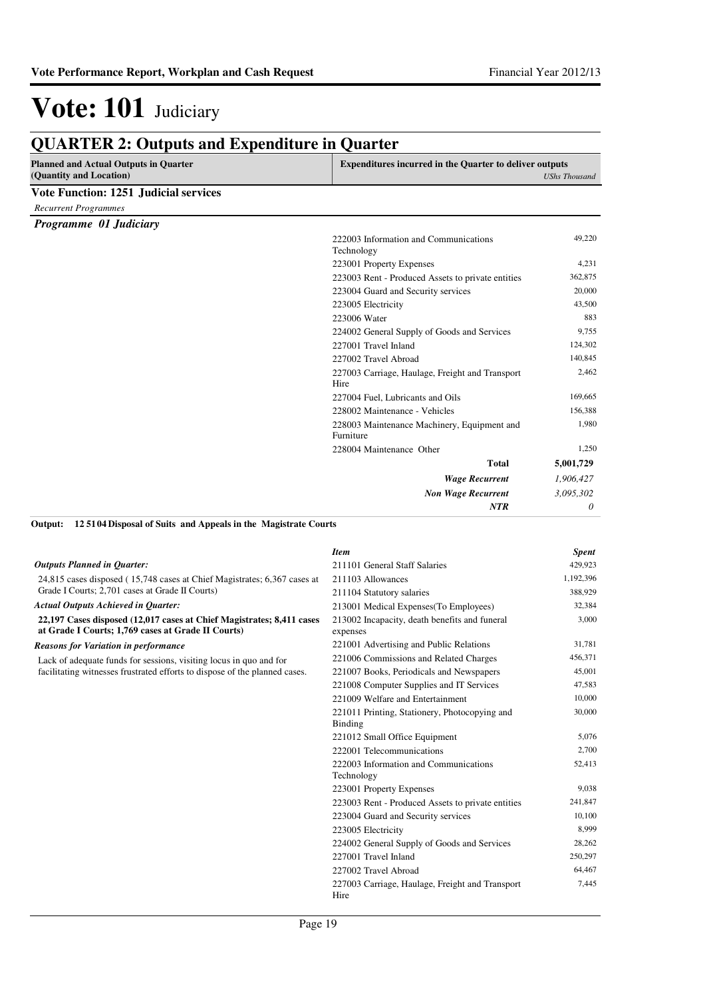| <b>Planned and Actual Outputs in Quarter</b> | <b>Expenditures incurred in the Quarter to deliver outputs</b> |                      |
|----------------------------------------------|----------------------------------------------------------------|----------------------|
| (Quantity and Location)                      |                                                                | <b>UShs Thousand</b> |
| <b>Vote Function: 1251 Judicial services</b> |                                                                |                      |
| <b>Recurrent Programmes</b>                  |                                                                |                      |
| Programme 01 Judiciary                       |                                                                |                      |
|                                              | 222003 Information and Communications<br>Technology            | 49,220               |
|                                              | 223001 Property Expenses                                       | 4,231                |
|                                              | 223003 Rent - Produced Assets to private entities              | 362,875              |
|                                              | 223004 Guard and Security services                             | 20,000               |
|                                              | 223005 Electricity                                             | 43,500               |
|                                              | 223006 Water                                                   | 883                  |
|                                              | 224002 General Supply of Goods and Services                    | 9,755                |
|                                              | 227001 Travel Inland                                           | 124,302              |
|                                              | 227002 Travel Abroad                                           | 140,845              |
|                                              | 227003 Carriage, Haulage, Freight and Transport<br>Hire        | 2,462                |
|                                              | 227004 Fuel, Lubricants and Oils                               | 169,665              |
|                                              | 228002 Maintenance - Vehicles                                  | 156,388              |
|                                              | 228003 Maintenance Machinery, Equipment and<br>Furniture       | 1,980                |
|                                              | 228004 Maintenance Other                                       | 1,250                |
|                                              | <b>Total</b>                                                   | 5,001,729            |
|                                              | <b>Wage Recurrent</b>                                          | 1,906,427            |
|                                              | <b>Non Wage Recurrent</b>                                      | 3,095,302            |
|                                              | <b>NTR</b>                                                     | 0                    |

**12 5104 Disposal of Suits and Appeals in the Magistrate Courts Output:**

|                                                                                                                             | <b>Item</b>                                                     | <b>Spent</b> |
|-----------------------------------------------------------------------------------------------------------------------------|-----------------------------------------------------------------|--------------|
| <b>Outputs Planned in Ouarter:</b>                                                                                          | 211101 General Staff Salaries                                   | 429,923      |
| 24,815 cases disposed (15,748 cases at Chief Magistrates; 6,367 cases at                                                    | 211103 Allowances                                               | 1,192,396    |
| Grade I Courts; 2,701 cases at Grade II Courts)                                                                             | 211104 Statutory salaries                                       | 388,929      |
| <b>Actual Outputs Achieved in Quarter:</b>                                                                                  | 213001 Medical Expenses (To Employees)                          | 32,384       |
| 22,197 Cases disposed (12,017 cases at Chief Magistrates; 8,411 cases<br>at Grade I Courts; 1,769 cases at Grade II Courts) | 213002 Incapacity, death benefits and funeral<br>expenses       | 3,000        |
| <b>Reasons for Variation in performance</b>                                                                                 | 221001 Advertising and Public Relations                         | 31,781       |
| Lack of adequate funds for sessions, visiting locus in quo and for                                                          | 221006 Commissions and Related Charges                          | 456,371      |
| facilitating witnesses frustrated efforts to dispose of the planned cases.                                                  | 221007 Books, Periodicals and Newspapers                        | 45,001       |
|                                                                                                                             | 221008 Computer Supplies and IT Services                        | 47,583       |
|                                                                                                                             | 221009 Welfare and Entertainment                                | 10,000       |
|                                                                                                                             | 221011 Printing, Stationery, Photocopying and<br><b>Binding</b> | 30,000       |
|                                                                                                                             | 221012 Small Office Equipment                                   | 5,076        |
|                                                                                                                             | 222001 Telecommunications                                       | 2,700        |
|                                                                                                                             | 222003 Information and Communications<br>Technology             | 52,413       |
|                                                                                                                             | 223001 Property Expenses                                        | 9,038        |
|                                                                                                                             | 223003 Rent - Produced Assets to private entities               | 241,847      |
|                                                                                                                             | 223004 Guard and Security services                              | 10,100       |
|                                                                                                                             | 223005 Electricity                                              | 8,999        |
|                                                                                                                             | 224002 General Supply of Goods and Services                     | 28,262       |
|                                                                                                                             | 227001 Travel Inland                                            | 250,297      |
|                                                                                                                             | 227002 Travel Abroad                                            | 64,467       |
|                                                                                                                             | 227003 Carriage, Haulage, Freight and Transport<br>Hire         | 7,445        |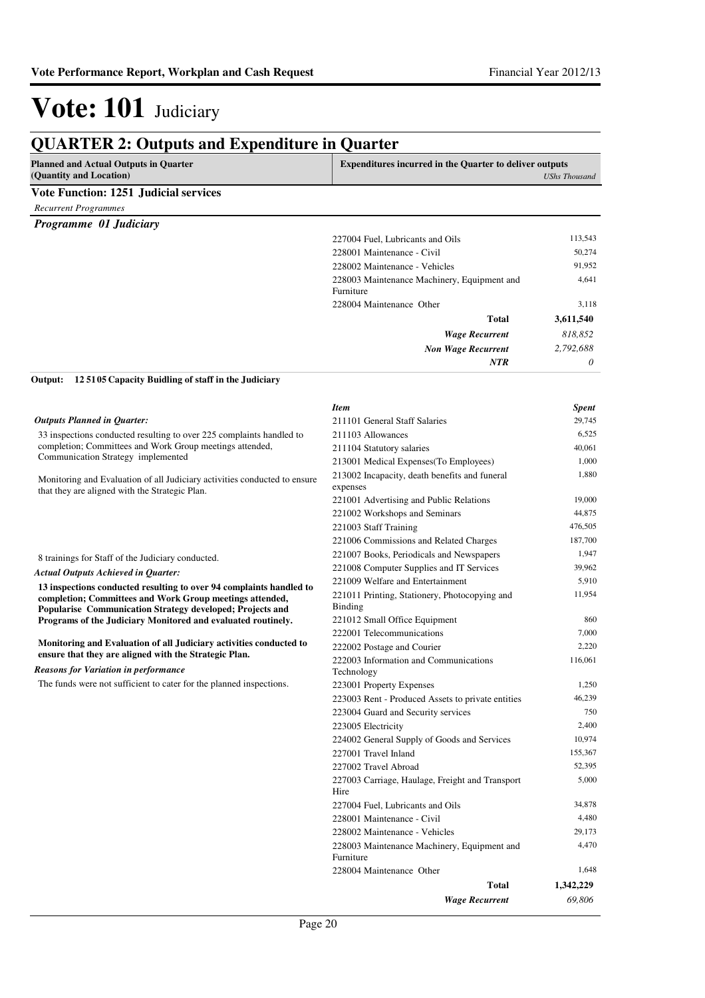| <b>QUARTER 2: Outputs and Expenditure in Quarter</b>                    |                                                                                        |           |  |
|-------------------------------------------------------------------------|----------------------------------------------------------------------------------------|-----------|--|
| <b>Planned and Actual Outputs in Quarter</b><br>(Quantity and Location) | <b>Expenditures incurred in the Quarter to deliver outputs</b><br><b>UShs Thousand</b> |           |  |
| <b>Vote Function: 1251 Judicial services</b>                            |                                                                                        |           |  |
| <b>Recurrent Programmes</b>                                             |                                                                                        |           |  |
| Programme 01 Judiciary                                                  |                                                                                        |           |  |
|                                                                         | 227004 Fuel. Lubricants and Oils                                                       | 113,543   |  |
|                                                                         | 228001 Maintenance - Civil                                                             | 50,274    |  |
|                                                                         | 228002 Maintenance - Vehicles                                                          | 91,952    |  |
|                                                                         | 228003 Maintenance Machinery, Equipment and<br>Furniture                               | 4.641     |  |
|                                                                         | 228004 Maintenance Other                                                               | 3,118     |  |
|                                                                         | <b>Total</b>                                                                           | 3,611,540 |  |
|                                                                         | <b>Wage Recurrent</b>                                                                  | 818,852   |  |
|                                                                         | <b>Non Wage Recurrent</b>                                                              | 2,792,688 |  |
|                                                                         | <b>NTR</b>                                                                             | 0         |  |
| 125105 Capacity Buidling of staff in the Judiciary<br>Output:           |                                                                                        |           |  |
|                                                                         | <b>Item</b>                                                                            | Spent     |  |
| <b>Outputs Planned in Ouarter:</b>                                      | 211101 General Staff Salaries                                                          | 29,745    |  |
| 33 inspections conducted resulting to over 225 complaints handled to    | 211103 Allowances                                                                      | 6,525     |  |
| completion; Committees and Work Group meetings attended,                | 211104 Statutory salaries                                                              | 40,061    |  |
| Communication Strategy implemented                                      | 213001 Medical Expenses (To Employees)                                                 | 1.000     |  |

Monitoring and Evaluation of all Judiciary activities conducted to ensure that they are aligned with the Strategic Plan.

8 trainings for Staff of the Judiciary conducted.

#### *Actual Outputs Achieved in Quarter:*

**13 inspections conducted resulting to over 94 complaints handled to completion; Committees and Work Group meetings attended, Popularise Communication Strategy developed; Projects and Programs of the Judiciary Monitored and evaluated routinely.**

**Monitoring and Evaluation of all Judiciary activities conducted to ensure that they are aligned with the Strategic Plan.**

*Reasons for Variation in performance*

The funds were not sufficient to cater for the planned inspections.

| <b>Item</b>                                               | <b>Spent</b> |
|-----------------------------------------------------------|--------------|
| 211101 General Staff Salaries                             | 29,745       |
| 211103 Allowances                                         | 6,525        |
| 211104 Statutory salaries                                 | 40,061       |
| 213001 Medical Expenses(To Employees)                     | 1,000        |
| 213002 Incapacity, death benefits and funeral<br>expenses | 1,880        |
| 221001 Advertising and Public Relations                   | 19,000       |
| 221002 Workshops and Seminars                             | 44,875       |
| 221003 Staff Training                                     | 476,505      |
| 221006 Commissions and Related Charges                    | 187,700      |
| 221007 Books, Periodicals and Newspapers                  | 1,947        |
| 221008 Computer Supplies and IT Services                  | 39,962       |
| 221009 Welfare and Entertainment                          | 5,910        |
| 221011 Printing, Stationery, Photocopying and<br>Binding  | 11,954       |
| 221012 Small Office Equipment                             | 860          |
| 222001 Telecommunications                                 | 7.000        |
| 222002 Postage and Courier                                | 2,220        |
| 222003 Information and Communications<br>Technology       | 116,061      |
| 223001 Property Expenses                                  | 1,250        |
| 223003 Rent - Produced Assets to private entities         | 46,239       |
| 223004 Guard and Security services                        | 750          |
| 223005 Electricity                                        | 2,400        |
| 224002 General Supply of Goods and Services               | 10,974       |
| 227001 Travel Inland                                      | 155,367      |
| 227002 Travel Abroad                                      | 52,395       |
| 227003 Carriage, Haulage, Freight and Transport<br>Hire   | 5,000        |
| 227004 Fuel, Lubricants and Oils                          | 34,878       |
| 228001 Maintenance - Civil                                | 4,480        |
| 228002 Maintenance - Vehicles                             | 29,173       |
| 228003 Maintenance Machinery, Equipment and<br>Furniture  | 4,470        |
| 228004 Maintenance Other                                  | 1,648        |
| <b>Total</b>                                              | 1,342,229    |
| <b>Wage Recurrent</b>                                     | 69.806       |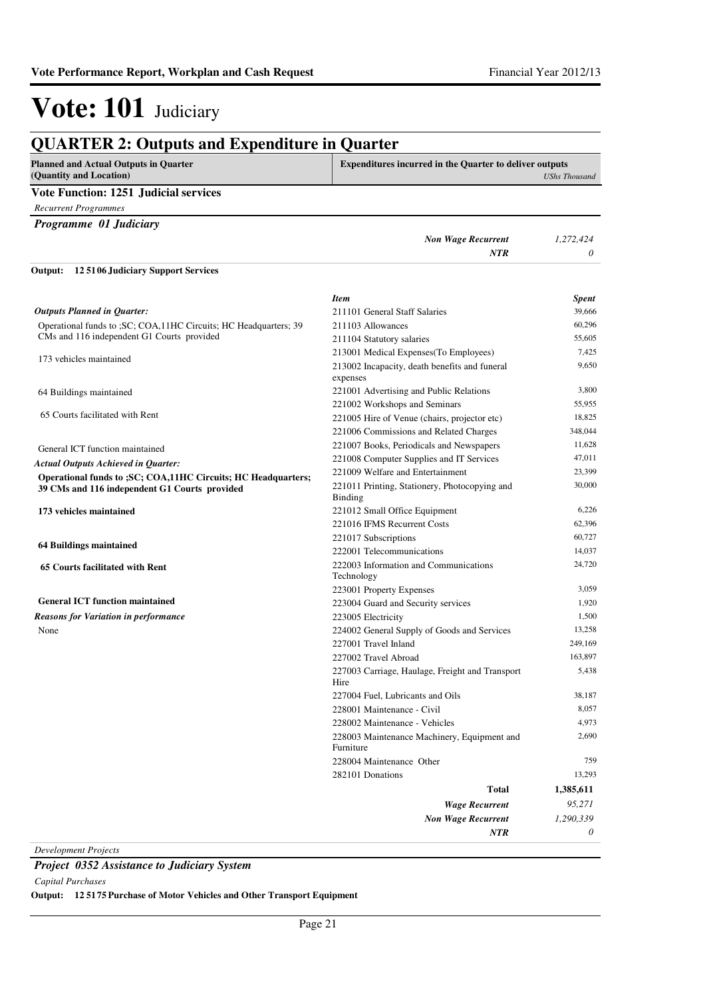| <b>Planned and Actual Outputs in Quarter</b><br>(Quantity and Location)                                          | <b>Expenditures incurred in the Quarter to deliver outputs</b><br><b>UShs Thousand</b> |                 |
|------------------------------------------------------------------------------------------------------------------|----------------------------------------------------------------------------------------|-----------------|
| <b>Vote Function: 1251 Judicial services</b>                                                                     |                                                                                        |                 |
| <b>Recurrent Programmes</b>                                                                                      |                                                                                        |                 |
| Programme 01 Judiciary                                                                                           |                                                                                        |                 |
|                                                                                                                  | <b>Non Wage Recurrent</b><br><b>NTR</b>                                                | 1,272,424<br>0  |
| 125106 Judiciary Support Services<br>Output:                                                                     |                                                                                        |                 |
| <b>Outputs Planned in Quarter:</b>                                                                               | <b>Item</b><br>211101 General Staff Salaries                                           | Spent<br>39,666 |
|                                                                                                                  |                                                                                        | 60,296          |
| Operational funds to ; SC; COA, 11HC Circuits; HC Headquarters; 39<br>CMs and 116 independent G1 Courts provided | 211103 Allowances<br>211104 Statutory salaries                                         | 55,605          |
|                                                                                                                  | 213001 Medical Expenses (To Employees)                                                 | 7,425           |
| 173 vehicles maintained                                                                                          | 213002 Incapacity, death benefits and funeral<br>expenses                              | 9,650           |
| 64 Buildings maintained                                                                                          | 221001 Advertising and Public Relations                                                | 3,800           |
|                                                                                                                  | 221002 Workshops and Seminars                                                          | 55,955          |
| 65 Courts facilitated with Rent                                                                                  | 221005 Hire of Venue (chairs, projector etc)                                           | 18,825          |
|                                                                                                                  | 221006 Commissions and Related Charges                                                 | 348,044         |
| General ICT function maintained                                                                                  | 221007 Books, Periodicals and Newspapers                                               | 11,628          |
| <b>Actual Outputs Achieved in Quarter:</b>                                                                       | 221008 Computer Supplies and IT Services                                               | 47,011          |
| Operational funds to ; SC; COA, 11HC Circuits; HC Headquarters;                                                  | 221009 Welfare and Entertainment                                                       | 23,399          |
| 39 CMs and 116 independent G1 Courts provided                                                                    | 221011 Printing, Stationery, Photocopying and<br>Binding                               | 30,000          |
| 173 vehicles maintained                                                                                          | 221012 Small Office Equipment                                                          | 6,226           |
|                                                                                                                  | 221016 IFMS Recurrent Costs                                                            | 62,396          |
| 64 Buildings maintained                                                                                          | 221017 Subscriptions                                                                   | 60,727          |
|                                                                                                                  | 222001 Telecommunications                                                              | 14,037          |
| 65 Courts facilitated with Rent                                                                                  | 222003 Information and Communications<br>Technology                                    | 24,720          |
|                                                                                                                  | 223001 Property Expenses                                                               | 3,059           |
| <b>General ICT function maintained</b>                                                                           | 223004 Guard and Security services                                                     | 1,920           |
| <b>Reasons for Variation in performance</b>                                                                      | 223005 Electricity                                                                     | 1,500           |
| None                                                                                                             | 224002 General Supply of Goods and Services                                            | 13,258          |
|                                                                                                                  | 227001 Travel Inland                                                                   | 249,169         |
|                                                                                                                  | 227002 Travel Abroad                                                                   | 163,897         |
|                                                                                                                  | 227003 Carriage, Haulage, Freight and Transport<br>Hire                                | 5,438           |
|                                                                                                                  | 227004 Fuel, Lubricants and Oils                                                       | 38,187          |
|                                                                                                                  | 228001 Maintenance - Civil                                                             | 8,057           |
|                                                                                                                  | 228002 Maintenance - Vehicles                                                          | 4,973           |
|                                                                                                                  | 228003 Maintenance Machinery, Equipment and<br>Furniture                               | 2,690           |
|                                                                                                                  | 228004 Maintenance Other                                                               | 759             |
|                                                                                                                  | 282101 Donations                                                                       | 13,293          |
|                                                                                                                  | <b>Total</b>                                                                           | 1,385,611       |
|                                                                                                                  | <b>Wage Recurrent</b>                                                                  | 95,271          |
|                                                                                                                  | <b>Non Wage Recurrent</b>                                                              | 1,290,339       |
|                                                                                                                  | NTR                                                                                    | 0               |

*Development Projects*

### *Project 0352 Assistance to Judiciary System*

*Capital Purchases*

**Output: 12 5175 Purchase of Motor Vehicles and Other Transport Equipment**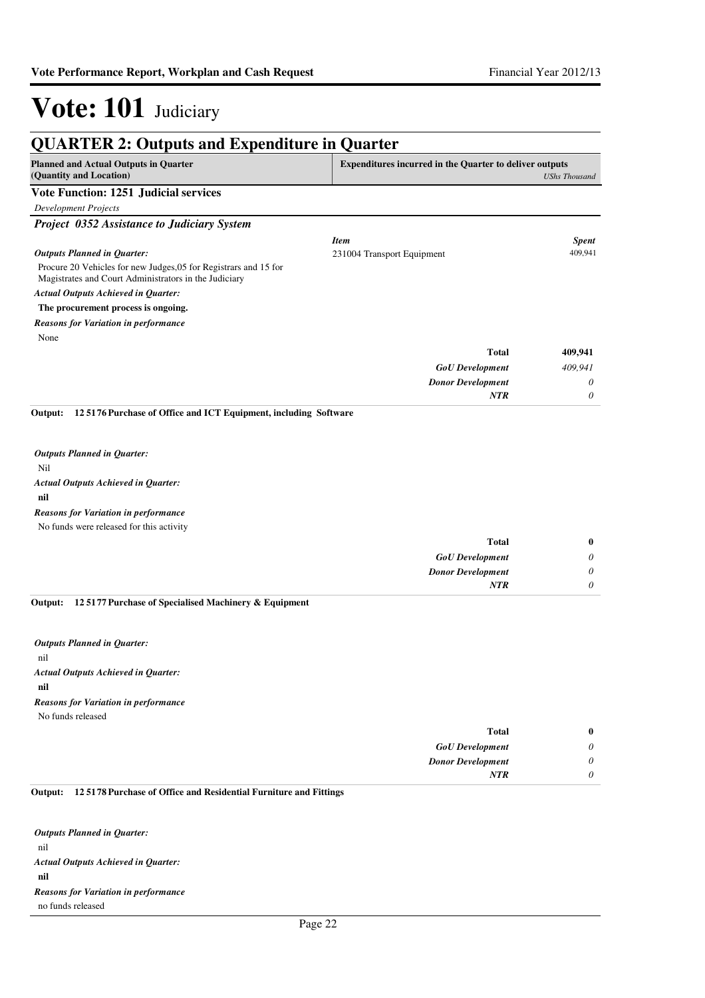| <b>Planned and Actual Outputs in Quarter</b><br>(Quantity and Location)                                                   | <b>Expenditures incurred in the Quarter to deliver outputs</b> | <b>UShs Thousand</b> |
|---------------------------------------------------------------------------------------------------------------------------|----------------------------------------------------------------|----------------------|
| <b>Vote Function: 1251 Judicial services</b>                                                                              |                                                                |                      |
| <b>Development Projects</b>                                                                                               |                                                                |                      |
| Project 0352 Assistance to Judiciary System                                                                               |                                                                |                      |
|                                                                                                                           | <b>Item</b>                                                    | <b>Spent</b>         |
| <b>Outputs Planned in Quarter:</b>                                                                                        | 231004 Transport Equipment                                     | 409.941              |
| Procure 20 Vehicles for new Judges, 05 for Registrars and 15 for<br>Magistrates and Court Administrators in the Judiciary |                                                                |                      |
| <b>Actual Outputs Achieved in Quarter:</b>                                                                                |                                                                |                      |
| The procurement process is ongoing.                                                                                       |                                                                |                      |
| <b>Reasons for Variation in performance</b>                                                                               |                                                                |                      |
| None                                                                                                                      |                                                                |                      |
|                                                                                                                           | <b>Total</b>                                                   | 409,941              |
|                                                                                                                           | <b>GoU</b> Development                                         | 409,941              |
|                                                                                                                           | <b>Donor Development</b>                                       | 0                    |
|                                                                                                                           | <b>NTR</b>                                                     | 0                    |
| 125176 Purchase of Office and ICT Equipment, including Software<br>Output:                                                |                                                                |                      |
| <b>Outputs Planned in Quarter:</b>                                                                                        |                                                                |                      |
| Nil                                                                                                                       |                                                                |                      |
| <b>Actual Outputs Achieved in Quarter:</b>                                                                                |                                                                |                      |
| nil                                                                                                                       |                                                                |                      |
| <b>Reasons for Variation in performance</b>                                                                               |                                                                |                      |
| No funds were released for this activity                                                                                  |                                                                |                      |
|                                                                                                                           | <b>Total</b>                                                   | $\bf{0}$             |
|                                                                                                                           | <b>GoU</b> Development                                         | 0                    |
|                                                                                                                           | <b>Donor Development</b>                                       | 0                    |
|                                                                                                                           |                                                                |                      |

nil **nil** *Actual Outputs Achieved in Quarter: Outputs Planned in Quarter:* No funds released *Reasons for Variation in performance*

| $\bf{0}$ | Total                    |
|----------|--------------------------|
| 0        | <b>GoU</b> Development   |
| 0        | <b>Donor Development</b> |
| 0        | <b>NTR</b>               |
|          |                          |

#### **12 5178 Purchase of Office and Residential Furniture and Fittings Output:**

nil **nil** *Actual Outputs Achieved in Quarter: Outputs Planned in Quarter:* no funds released *Reasons for Variation in performance*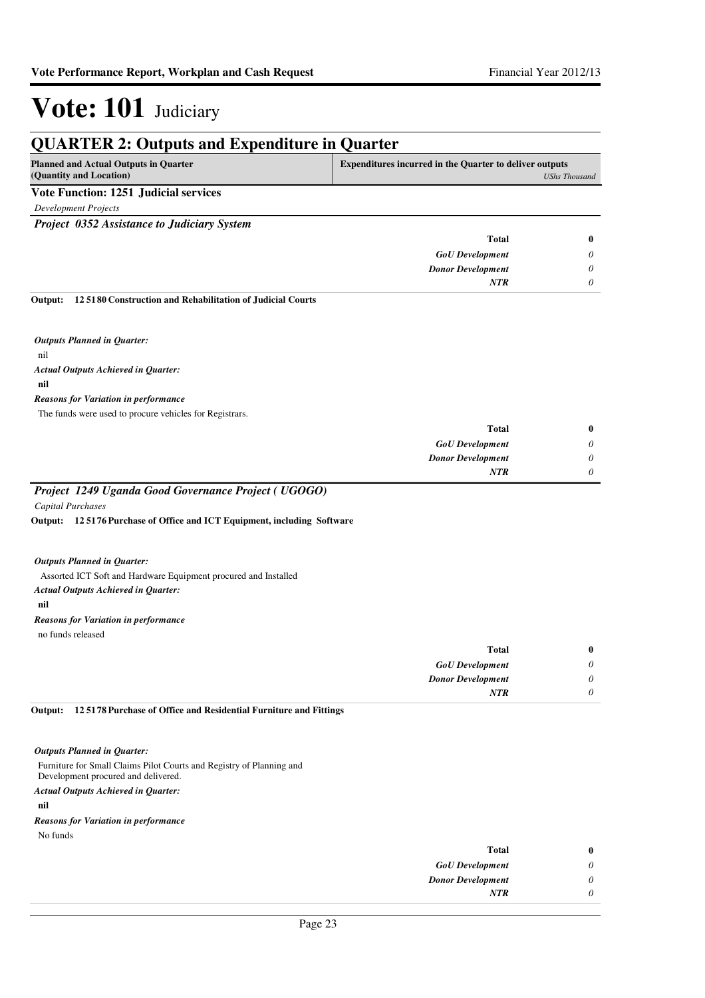| <b>QUARTER 2: Outputs and Expenditure in Quarter</b>                    |                                                                |                      |
|-------------------------------------------------------------------------|----------------------------------------------------------------|----------------------|
| <b>Planned and Actual Outputs in Quarter</b><br>(Quantity and Location) | <b>Expenditures incurred in the Quarter to deliver outputs</b> | <b>UShs Thousand</b> |
| <b>Vote Function: 1251 Judicial services</b>                            |                                                                |                      |
| <b>Development Projects</b>                                             |                                                                |                      |
| <b>Project 0352 Assistance to Judiciary System</b>                      |                                                                |                      |
|                                                                         |                                                                |                      |
|                                                                         | <b>Total</b>                                                   | 0                    |
|                                                                         | <b>GoU</b> Development                                         | 0                    |
|                                                                         | <b>Donor Development</b>                                       | 0                    |
|                                                                         | <b>NTR</b>                                                     | 0                    |
| 125180 Construction and Rehabilitation of Judicial Courts<br>Output:    |                                                                |                      |
| <b>Outputs Planned in Quarter:</b>                                      |                                                                |                      |
| nil                                                                     |                                                                |                      |
| <b>Actual Outputs Achieved in Quarter:</b>                              |                                                                |                      |
| nil                                                                     |                                                                |                      |
| <b>Reasons for Variation in performance</b>                             |                                                                |                      |
| The funds were used to procure vehicles for Registrars.                 |                                                                |                      |
|                                                                         | <b>Total</b>                                                   | 0                    |
|                                                                         | <b>GoU</b> Development                                         | 0                    |
|                                                                         | <b>Donor Development</b>                                       | 0                    |
|                                                                         | <b>NTR</b>                                                     | $\theta$             |
| Project 1249 Uganda Good Governance Project (UGOGO)                     |                                                                |                      |
| <b>Capital Purchases</b>                                                |                                                                |                      |
| Output: 125176 Purchase of Office and ICT Equipment, including Software |                                                                |                      |
|                                                                         |                                                                |                      |
| <b>Outputs Planned in Quarter:</b>                                      |                                                                |                      |
| Assorted ICT Soft and Hardware Equipment procured and Installed         |                                                                |                      |
| <b>Actual Outputs Achieved in Quarter:</b>                              |                                                                |                      |
| nil                                                                     |                                                                |                      |
| <b>Reasons for Variation in performance</b>                             |                                                                |                      |
| no funds released                                                       |                                                                |                      |
|                                                                         | <b>Total</b>                                                   | $\bf{0}$             |

| v        | 1 otal                   |
|----------|--------------------------|
| $\theta$ | <b>GoU</b> Development   |
| 0        | <b>Donor Development</b> |
| 0        | <b>NTR</b>               |
|          |                          |

**12 5178 Purchase of Office and Residential Furniture and Fittings Output:**

*Outputs Planned in Quarter:*

Furniture for Small Claims Pilot Courts and Registry of Planning and Development procured and delivered.

*Actual Outputs Achieved in Quarter:*

**nil**

*Reasons for Variation in performance*

No funds

| Total                    | $\bf{0}$ |
|--------------------------|----------|
| <b>GoU</b> Development   | 0        |
| <b>Donor Development</b> | 0        |
| <b>NTR</b>               |          |
|                          |          |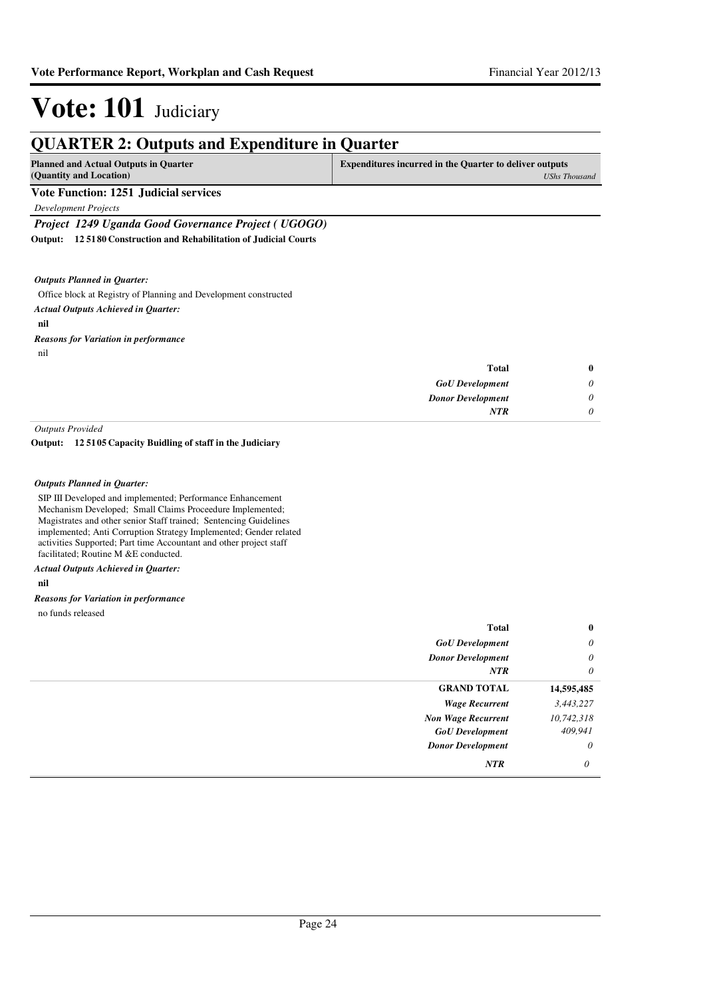| <b>Planned and Actual Outputs in Quarter</b>                         | <b>Expenditures incurred in the Quarter to deliver outputs</b> |                      |
|----------------------------------------------------------------------|----------------------------------------------------------------|----------------------|
| (Quantity and Location)                                              |                                                                | <b>UShs Thousand</b> |
| <b>Vote Function: 1251 Judicial services</b>                         |                                                                |                      |
| <b>Development Projects</b>                                          |                                                                |                      |
| Project 1249 Uganda Good Governance Project (UGOGO)                  |                                                                |                      |
| 125180 Construction and Rehabilitation of Judicial Courts<br>Output: |                                                                |                      |
| <b>Outputs Planned in Quarter:</b>                                   |                                                                |                      |
| Office block at Registry of Planning and Development constructed     |                                                                |                      |
| <b>Actual Outputs Achieved in Quarter:</b>                           |                                                                |                      |
| nil                                                                  |                                                                |                      |
| <b>Reasons for Variation in performance</b>                          |                                                                |                      |
| nil                                                                  |                                                                |                      |
|                                                                      | <b>Total</b>                                                   | $\bf{0}$             |
|                                                                      | <b>GoU</b> Development                                         | 0                    |
|                                                                      | <b>Donor Development</b>                                       | 0                    |
|                                                                      | <b>NTR</b>                                                     | 0                    |

#### **12 5105 Capacity Buidling of staff in the Judiciary Output:**

#### *Outputs Planned in Quarter:*

SIP III Developed and implemented; Performance Enhancement Mechanism Developed; Small Claims Proceedure Implemented; Magistrates and other senior Staff trained; Sentencing Guidelines implemented; Anti Corruption Strategy Implemented; Gender related activities Supported; Part time Accountant and other project staff facilitated; Routine M &E conducted.

#### *Actual Outputs Achieved in Quarter:*

#### **nil**

*Reasons for Variation in performance*

no funds released

| <b>Total</b>              | $\bf{0}$   |
|---------------------------|------------|
| <b>GoU</b> Development    | $\theta$   |
| <b>Donor Development</b>  | $\theta$   |
| <b>NTR</b>                | $\theta$   |
| <b>GRAND TOTAL</b>        | 14,595,485 |
| <b>Wage Recurrent</b>     | 3,443,227  |
| <b>Non Wage Recurrent</b> | 10,742,318 |
| <b>GoU</b> Development    | 409,941    |
| <b>Donor Development</b>  | $\theta$   |
| <b>NTR</b>                | $\theta$   |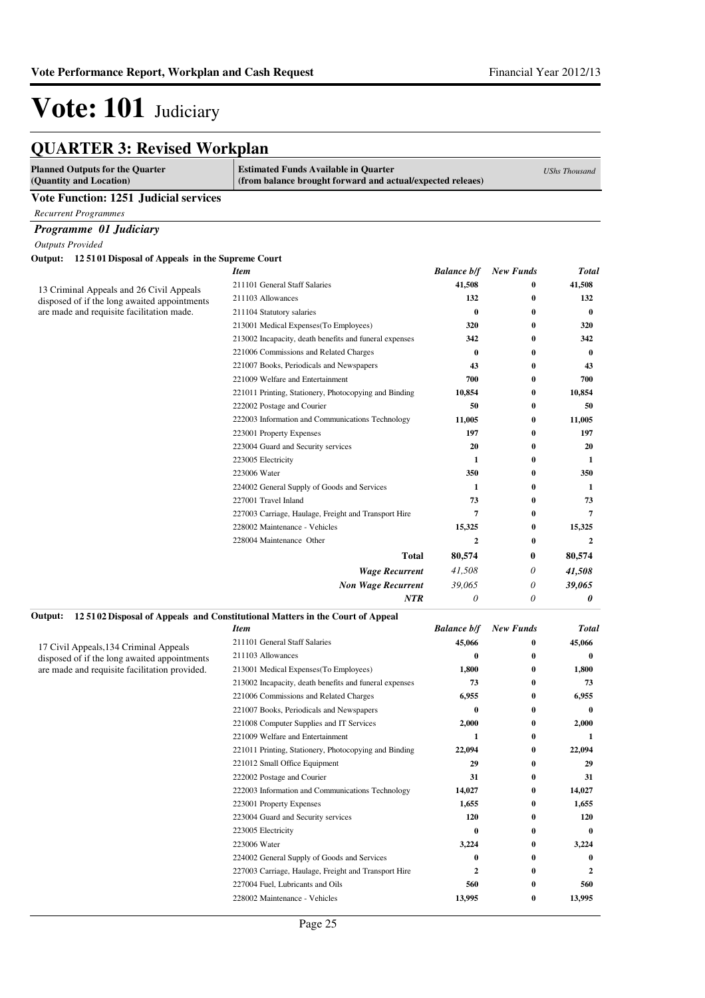| <b>QUARTER 3: Revised Workplan</b> |  |  |
|------------------------------------|--|--|
|------------------------------------|--|--|

| <b>Planned Outputs for the Quarter</b><br>(Quantity and Location)                        | <b>Estimated Funds Available in Quarter</b><br>(from balance brought forward and actual/expected releaes) |                    | <b>UShs Thousand</b> |              |
|------------------------------------------------------------------------------------------|-----------------------------------------------------------------------------------------------------------|--------------------|----------------------|--------------|
| Vote Function: 1251 Judicial services                                                    |                                                                                                           |                    |                      |              |
| <b>Recurrent Programmes</b>                                                              |                                                                                                           |                    |                      |              |
| Programme 01 Judiciary                                                                   |                                                                                                           |                    |                      |              |
| <b>Outputs Provided</b>                                                                  |                                                                                                           |                    |                      |              |
| 125101 Disposal of Appeals in the Supreme Court<br>Output:                               |                                                                                                           |                    |                      |              |
|                                                                                          | <b>Item</b>                                                                                               | <b>Balance b/f</b> | <b>New Funds</b>     | Total        |
|                                                                                          | 211101 General Staff Salaries                                                                             | 41,508             | 0                    | 41,508       |
| 13 Criminal Appeals and 26 Civil Appeals<br>disposed of if the long awaited appointments | 211103 Allowances                                                                                         | 132                | 0                    | 132          |
| are made and requisite facilitation made.                                                | 211104 Statutory salaries                                                                                 | $\bf{0}$           | 0                    | $\bf{0}$     |
|                                                                                          | 213001 Medical Expenses (To Employees)                                                                    | 320                | $\bf{0}$             | 320          |
|                                                                                          | 213002 Incapacity, death benefits and funeral expenses                                                    | 342                | 0                    | 342          |
|                                                                                          | 221006 Commissions and Related Charges                                                                    | 0                  | $\bf{0}$             | $\bf{0}$     |
|                                                                                          | 221007 Books, Periodicals and Newspapers                                                                  | 43                 | 0                    | 43           |
|                                                                                          | 221009 Welfare and Entertainment                                                                          | 700                | $\bf{0}$             | 700          |
|                                                                                          | 221011 Printing, Stationery, Photocopying and Binding                                                     | 10,854             | $\bf{0}$             | 10,854       |
|                                                                                          | 222002 Postage and Courier                                                                                | 50                 | 0                    | 50           |
|                                                                                          | 222003 Information and Communications Technology                                                          | 11,005             | 0                    | 11.005       |
|                                                                                          | 223001 Property Expenses                                                                                  | 197                | 0                    | 197          |
|                                                                                          | 223004 Guard and Security services                                                                        | 20                 | $\bf{0}$             | 20           |
|                                                                                          | 223005 Electricity                                                                                        | 1                  | $\bf{0}$             | 1            |
|                                                                                          | 223006 Water                                                                                              | 350                | $\bf{0}$             | 350          |
|                                                                                          | 224002 General Supply of Goods and Services                                                               | 1                  | 0                    | 1            |
|                                                                                          | 227001 Travel Inland                                                                                      | 73                 | 0                    | 73           |
|                                                                                          | 227003 Carriage, Haulage, Freight and Transport Hire                                                      | 7                  | 0                    | 7            |
|                                                                                          | 228002 Maintenance - Vehicles                                                                             | 15,325             | 0                    | 15,325       |
|                                                                                          | 228004 Maintenance Other                                                                                  | $\boldsymbol{2}$   | 0                    | $\mathbf{2}$ |
|                                                                                          | <b>Total</b>                                                                                              | 80,574             | 0                    | 80,574       |
|                                                                                          | <b>Wage Recurrent</b>                                                                                     | 41,508             | 0                    | 41,508       |
|                                                                                          | <b>Non Wage Recurrent</b>                                                                                 | 39,065             | 0                    | 39,065       |
|                                                                                          | <b>NTR</b>                                                                                                | $\theta$           | 0                    | 0            |
| Output:                                                                                  | 125102 Disposal of Appeals and Constitutional Matters in the Court of Appeal                              |                    |                      |              |
|                                                                                          | <b>Item</b>                                                                                               | <b>Balance b/f</b> | <b>New Funds</b>     | <b>Total</b> |
| 17 Civil Appeals, 134 Criminal Appeals                                                   | 211101 General Staff Salaries                                                                             | 45,066             | 0                    | 45,066       |
| disposed of if the long awaited appointments                                             | 211103 Allowances                                                                                         | 0                  | 0                    | $\bf{0}$     |
| are made and requisite facilitation provided.                                            | 213001 Medical Expenses (To Employees)                                                                    | 1,800              | 0                    | 1,800        |
|                                                                                          | 213002 Incapacity, death benefits and funeral expenses                                                    | 73                 | 0                    | 73           |
|                                                                                          | 221006 Commissions and Related Charges                                                                    | 6,955              | 0                    | 6,955        |
|                                                                                          | 221007 Books, Periodicals and Newspapers                                                                  | 0                  | $\bf{0}$             | 0            |
|                                                                                          | 221008 Computer Supplies and IT Services                                                                  | 2,000              | $\bf{0}$             | 2,000        |
|                                                                                          | 221009 Welfare and Entertainment                                                                          | 1                  | 0                    | 1            |
|                                                                                          | 221011 Printing, Stationery, Photocopying and Binding                                                     | 22,094             | 0                    | 22,094       |
|                                                                                          | 221012 Small Office Equipment                                                                             | 29                 | 0                    | 29           |
|                                                                                          | 222002 Postage and Courier                                                                                | 31                 | 0                    | 31           |
|                                                                                          | 222003 Information and Communications Technology                                                          | 14,027             | 0                    | 14,027       |
|                                                                                          | 223001 Property Expenses                                                                                  | 1,655              | 0                    | 1,655        |
|                                                                                          | 223004 Guard and Security services                                                                        | 120                | 0                    | 120          |
|                                                                                          | 223005 Electricity                                                                                        | 0                  | 0                    | 0            |
|                                                                                          | 223006 Water                                                                                              | 3,224              | 0                    | 3,224        |
|                                                                                          | 224002 General Supply of Goods and Services                                                               | 0                  | 0                    | $\bf{0}$     |
|                                                                                          | 227003 Carriage, Haulage, Freight and Transport Hire                                                      | 2                  | 0                    | 2            |
|                                                                                          | 227004 Fuel, Lubricants and Oils                                                                          | 560                | 0                    | 560          |
|                                                                                          | 228002 Maintenance - Vehicles                                                                             | 13,995             | 0                    | 13,995       |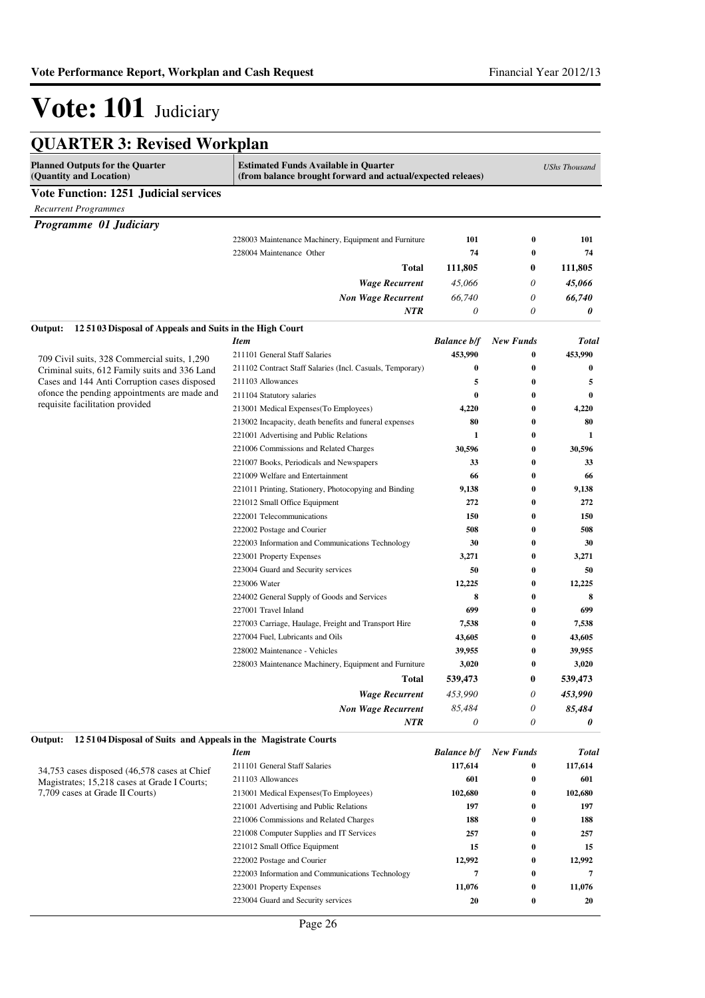| <b>QUARTER 3: Revised Workplan</b>                                              |                                                                                                           |                    |                  |                      |  |
|---------------------------------------------------------------------------------|-----------------------------------------------------------------------------------------------------------|--------------------|------------------|----------------------|--|
| <b>Planned Outputs for the Quarter</b><br>(Quantity and Location)               | <b>Estimated Funds Available in Quarter</b><br>(from balance brought forward and actual/expected releaes) |                    |                  | <b>UShs Thousand</b> |  |
| <b>Vote Function: 1251 Judicial services</b>                                    |                                                                                                           |                    |                  |                      |  |
| <b>Recurrent Programmes</b>                                                     |                                                                                                           |                    |                  |                      |  |
| Programme 01 Judiciary                                                          |                                                                                                           |                    |                  |                      |  |
|                                                                                 | 228003 Maintenance Machinery, Equipment and Furniture                                                     | 101                | 0                | 101                  |  |
|                                                                                 | 228004 Maintenance Other                                                                                  | 74                 | $\bf{0}$         | 74                   |  |
|                                                                                 | <b>Total</b>                                                                                              | 111,805            | $\bf{0}$         | 111,805              |  |
|                                                                                 | <b>Wage Recurrent</b>                                                                                     | 45,066             | 0                | 45,066               |  |
|                                                                                 | <b>Non Wage Recurrent</b>                                                                                 | 66,740             | $\theta$         | 66,740               |  |
|                                                                                 | <b>NTR</b>                                                                                                | $\theta$           | 0                | 0                    |  |
| Output:<br>125103 Disposal of Appeals and Suits in the High Court               |                                                                                                           |                    |                  |                      |  |
|                                                                                 | <b>Item</b>                                                                                               | <b>Balance b/f</b> | <b>New Funds</b> | Total                |  |
| 709 Civil suits, 328 Commercial suits, 1,290                                    | 211101 General Staff Salaries                                                                             | 453,990            | 0                | 453,990              |  |
| Criminal suits, 612 Family suits and 336 Land                                   | 211102 Contract Staff Salaries (Incl. Casuals, Temporary)                                                 | $\bf{0}$           | 0                | 0                    |  |
| Cases and 144 Anti Corruption cases disposed                                    | 211103 Allowances                                                                                         | 5                  | 0                | 5                    |  |
| ofonce the pending appointments are made and                                    | 211104 Statutory salaries                                                                                 | $\bf{0}$           | $\bf{0}$         | $\bf{0}$             |  |
| requisite facilitation provided                                                 | 213001 Medical Expenses (To Employees)                                                                    | 4,220              | 0                | 4,220                |  |
|                                                                                 | 213002 Incapacity, death benefits and funeral expenses                                                    | 80                 | 0                | 80                   |  |
|                                                                                 | 221001 Advertising and Public Relations                                                                   | 1                  | 0                | 1                    |  |
|                                                                                 | 221006 Commissions and Related Charges                                                                    | 30,596             | 0                | 30,596               |  |
|                                                                                 | 221007 Books, Periodicals and Newspapers                                                                  | 33                 | 0                | 33                   |  |
|                                                                                 | 221009 Welfare and Entertainment                                                                          | 66                 | 0                | 66                   |  |
|                                                                                 | 221011 Printing, Stationery, Photocopying and Binding                                                     | 9,138              | 0                | 9,138                |  |
|                                                                                 | 221012 Small Office Equipment                                                                             | 272                | 0                | 272                  |  |
|                                                                                 | 222001 Telecommunications                                                                                 | 150                | 0                | 150                  |  |
|                                                                                 | 222002 Postage and Courier                                                                                | 508                | 0                | 508                  |  |
|                                                                                 | 222003 Information and Communications Technology                                                          | 30                 | 0                | 30                   |  |
|                                                                                 | 223001 Property Expenses                                                                                  | 3,271              | 0                | 3,271                |  |
|                                                                                 | 223004 Guard and Security services                                                                        | 50                 | 0                | 50                   |  |
|                                                                                 | 223006 Water                                                                                              | 12,225             | 0                | 12,225               |  |
|                                                                                 | 224002 General Supply of Goods and Services                                                               | 8                  | 0                | 8                    |  |
|                                                                                 | 227001 Travel Inland                                                                                      | 699                | 0                | 699                  |  |
|                                                                                 | 227003 Carriage, Haulage, Freight and Transport Hire                                                      | 7,538              | 0                | 7,538                |  |
|                                                                                 | 227004 Fuel, Lubricants and Oils                                                                          | 43,605             | 0                | 43,605               |  |
|                                                                                 | 228002 Maintenance - Vehicles                                                                             | 39,955             | 0                | 39,955               |  |
|                                                                                 | 228003 Maintenance Machinery, Equipment and Furniture                                                     | 3,020              | 0                | 3,020                |  |
|                                                                                 | Total                                                                                                     | 539,473            | $\boldsymbol{0}$ | 539,473              |  |
|                                                                                 | <b>Wage Recurrent</b>                                                                                     | 453,990            | 0                | 453,990              |  |
|                                                                                 | <b>Non Wage Recurrent</b>                                                                                 | 85,484             | 0                | 85,484               |  |
|                                                                                 | <b>NTR</b>                                                                                                | $\theta$           | 0                | 0                    |  |
| 125104 Disposal of Suits and Appeals in the Magistrate Courts<br>Output:        | <b>Item</b>                                                                                               | <b>Balance b/f</b> | <b>New Funds</b> | <b>Total</b>         |  |
|                                                                                 | 211101 General Staff Salaries                                                                             | 117,614            |                  |                      |  |
| 34,753 cases disposed (46,578 cases at Chief                                    | 211103 Allowances                                                                                         | 601                | 0<br>0           | 117,614<br>601       |  |
| Magistrates; 15,218 cases at Grade I Courts;<br>7,709 cases at Grade II Courts) | 213001 Medical Expenses(To Employees)                                                                     | 102,680            | 0                | 102,680              |  |
|                                                                                 | 221001 Advertising and Public Relations                                                                   | 197                | 0                | 197                  |  |
|                                                                                 | 221006 Commissions and Related Charges                                                                    | 188                | 0                | 188                  |  |
|                                                                                 | 221008 Computer Supplies and IT Services                                                                  | 257                | 0                | 257                  |  |
|                                                                                 | 221012 Small Office Equipment                                                                             | 15                 | 0                | 15                   |  |
|                                                                                 | 222002 Postage and Courier                                                                                | 12,992             | 0                | 12,992               |  |
|                                                                                 | 222003 Information and Communications Technology                                                          | 7                  | 0                | 7                    |  |
|                                                                                 | 223001 Property Expenses                                                                                  | 11,076             | 0                | 11,076               |  |
|                                                                                 | 223004 Guard and Security services                                                                        | 20                 | 0                | 20                   |  |
|                                                                                 |                                                                                                           |                    |                  |                      |  |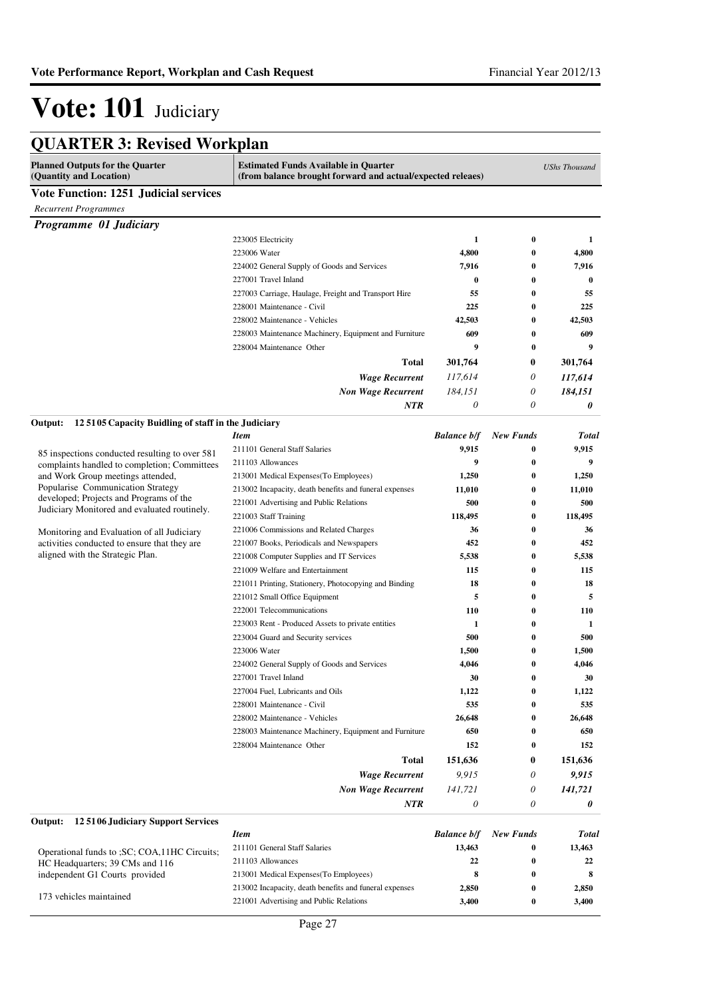| <b>QUARTER 3: Revised Workplan</b>                                                             |                                                                                                           |                     |                      |                      |
|------------------------------------------------------------------------------------------------|-----------------------------------------------------------------------------------------------------------|---------------------|----------------------|----------------------|
| <b>Planned Outputs for the Quarter</b><br>(Quantity and Location)                              | <b>Estimated Funds Available in Quarter</b><br>(from balance brought forward and actual/expected releaes) |                     |                      | <b>UShs Thousand</b> |
| <b>Vote Function: 1251 Judicial services</b>                                                   |                                                                                                           |                     |                      |                      |
| <b>Recurrent Programmes</b>                                                                    |                                                                                                           |                     |                      |                      |
| Programme 01 Judiciary                                                                         |                                                                                                           |                     |                      |                      |
|                                                                                                | 223005 Electricity                                                                                        | 1                   | $\bf{0}$             | 1                    |
|                                                                                                | 223006 Water                                                                                              | 4,800               | $\bf{0}$             | 4,800                |
|                                                                                                | 224002 General Supply of Goods and Services                                                               | 7,916               | $\bf{0}$             | 7,916                |
|                                                                                                | 227001 Travel Inland                                                                                      | $\bf{0}$            | $\bf{0}$             | 0                    |
|                                                                                                | 227003 Carriage, Haulage, Freight and Transport Hire                                                      | 55                  | $\bf{0}$             | 55                   |
|                                                                                                | 228001 Maintenance - Civil                                                                                | 225                 | $\bf{0}$             | 225                  |
|                                                                                                | 228002 Maintenance - Vehicles                                                                             | 42,503              | $\bf{0}$             | 42,503               |
|                                                                                                | 228003 Maintenance Machinery, Equipment and Furniture                                                     | 609                 | $\bf{0}$             | 609                  |
|                                                                                                | 228004 Maintenance Other                                                                                  | 9                   | $\bf{0}$             | 9                    |
|                                                                                                | <b>Total</b>                                                                                              | 301,764             | 0                    | 301,764              |
|                                                                                                | <b>Wage Recurrent</b>                                                                                     | 117,614             | 0                    | 117,614              |
|                                                                                                | <b>Non Wage Recurrent</b>                                                                                 | 184,151             | 0                    | 184,151              |
|                                                                                                | NTR                                                                                                       | 0                   | 0                    | 0                    |
| 125105 Capacity Buidling of staff in the Judiciary<br>Output:                                  |                                                                                                           |                     |                      |                      |
|                                                                                                | Item                                                                                                      | <b>Balance b/f</b>  | <b>New Funds</b>     | <b>Total</b>         |
|                                                                                                | 211101 General Staff Salaries                                                                             | 9,915               | $\bf{0}$             | 9,915                |
| 85 inspections conducted resulting to over 581<br>complaints handled to completion; Committees | 211103 Allowances                                                                                         | 9                   | $\bf{0}$             | 9                    |
| and Work Group meetings attended,                                                              | 213001 Medical Expenses (To Employees)                                                                    | 1,250               | $\bf{0}$             | 1,250                |
| Popularise Communication Strategy                                                              | 213002 Incapacity, death benefits and funeral expenses                                                    | 11,010              | $\bf{0}$             | 11,010               |
| developed; Projects and Programs of the<br>Judiciary Monitored and evaluated routinely.        | 221001 Advertising and Public Relations                                                                   | 500                 | $\bf{0}$             | 500                  |
|                                                                                                | 221003 Staff Training                                                                                     | 118,495             | $\bf{0}$             | 118,495              |
| Monitoring and Evaluation of all Judiciary                                                     | 221006 Commissions and Related Charges                                                                    | 36                  | $\bf{0}$             | 36                   |
| activities conducted to ensure that they are                                                   | 221007 Books, Periodicals and Newspapers                                                                  | 452                 | $\bf{0}$             | 452                  |
| aligned with the Strategic Plan.                                                               | 221008 Computer Supplies and IT Services                                                                  | 5,538               | $\bf{0}$             | 5,538                |
|                                                                                                | 221009 Welfare and Entertainment                                                                          | 115                 | $\bf{0}$             | 115                  |
|                                                                                                | 221011 Printing, Stationery, Photocopying and Binding                                                     | 18                  | $\bf{0}$             | 18                   |
|                                                                                                | 221012 Small Office Equipment                                                                             | 5                   | $\bf{0}$             | 5                    |
|                                                                                                | 222001 Telecommunications                                                                                 | 110                 | $\bf{0}$             | 110                  |
|                                                                                                | 223003 Rent - Produced Assets to private entities                                                         | $\mathbf{1}$<br>500 | $\bf{0}$<br>$\bf{0}$ | 1<br>500             |
|                                                                                                | 223004 Guard and Security services<br>223006 Water                                                        | 1,500               | $\bf{0}$             | 1,500                |
|                                                                                                | 224002 General Supply of Goods and Services                                                               | 4,046               | $\bf{0}$             | 4,046                |
|                                                                                                | 227001 Travel Inland                                                                                      | 30                  | $\boldsymbol{0}$     | 30                   |
|                                                                                                | 227004 Fuel, Lubricants and Oils                                                                          | 1,122               | $\bf{0}$             | 1,122                |
|                                                                                                | 228001 Maintenance - Civil                                                                                | 535                 | $\bf{0}$             | 535                  |
|                                                                                                | 228002 Maintenance - Vehicles                                                                             | 26,648              | $\bf{0}$             | 26,648               |
|                                                                                                | 228003 Maintenance Machinery, Equipment and Furniture                                                     | 650                 | $\bf{0}$             | 650                  |
|                                                                                                | 228004 Maintenance Other                                                                                  | 152                 | 0                    | 152                  |
|                                                                                                | Total                                                                                                     | 151,636             | 0                    | 151,636              |
|                                                                                                | <b>Wage Recurrent</b>                                                                                     | 9,915               | 0                    | 9,915                |
|                                                                                                | <b>Non Wage Recurrent</b>                                                                                 | 141,721             | 0                    | 141,721              |
|                                                                                                | NTR                                                                                                       | 0                   | 0                    | 0                    |
| 125106 Judiciary Support Services<br>Output:                                                   |                                                                                                           |                     |                      |                      |
|                                                                                                | <b>Item</b>                                                                                               | <b>Balance b/f</b>  | <b>New Funds</b>     | Total                |
| Operational funds to ; SC; COA, 11HC Circuits;                                                 | 211101 General Staff Salaries                                                                             | 13,463              | $\bf{0}$             | 13,463               |
| HC Headquarters; 39 CMs and 116                                                                | 211103 Allowances                                                                                         | 22                  | $\bf{0}$             | 22                   |
| independent G1 Courts provided                                                                 | 213001 Medical Expenses (To Employees)                                                                    | 8                   | $\bf{0}$             | 8                    |
| 173 vehicles maintained                                                                        | 213002 Incapacity, death benefits and funeral expenses                                                    | 2,850               | $\bf{0}$             | 2,850                |
|                                                                                                | 221001 Advertising and Public Relations                                                                   | 3,400               | $\bf{0}$             | 3,400                |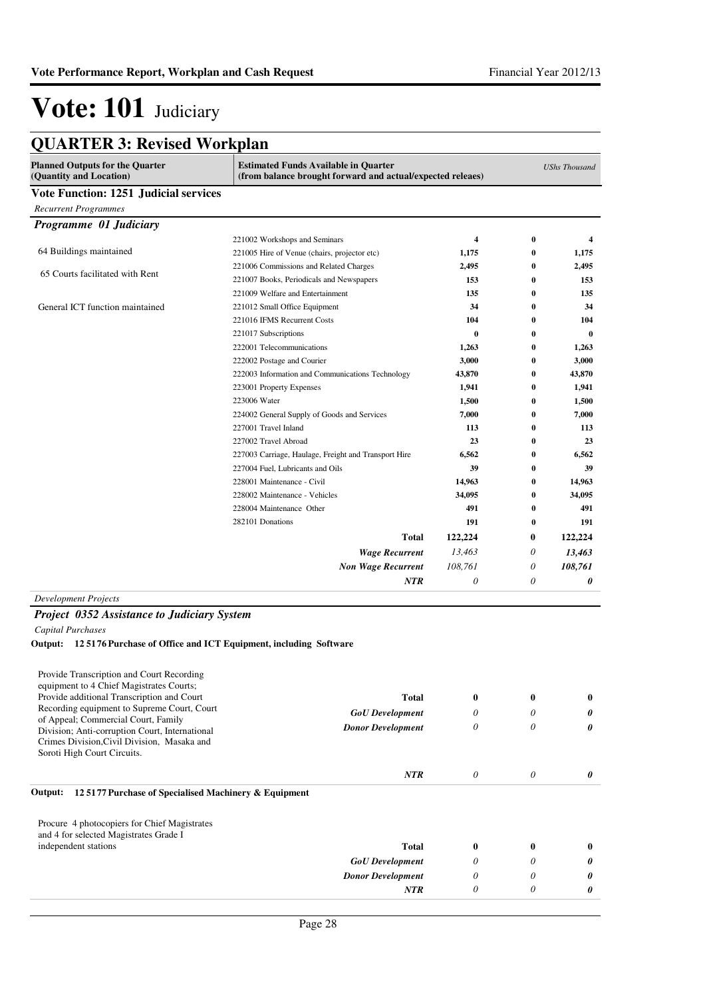| <b>Planned Outputs for the Quarter</b><br>(Quantity and Location) | <b>Estimated Funds Available in Quarter</b>          | (from balance brought forward and actual/expected releaes) |          |                       |
|-------------------------------------------------------------------|------------------------------------------------------|------------------------------------------------------------|----------|-----------------------|
| <b>Vote Function: 1251 Judicial services</b>                      |                                                      |                                                            |          |                       |
| <b>Recurrent Programmes</b>                                       |                                                      |                                                            |          |                       |
| Programme 01 Judiciary                                            |                                                      |                                                            |          |                       |
|                                                                   | 221002 Workshops and Seminars                        | 4                                                          | 0        | 4                     |
| 64 Buildings maintained                                           | 221005 Hire of Venue (chairs, projector etc)         | 1,175                                                      | $\bf{0}$ | 1,175                 |
|                                                                   | 221006 Commissions and Related Charges               | 2,495                                                      | $\bf{0}$ | 2,495                 |
| 65 Courts facilitated with Rent                                   | 221007 Books, Periodicals and Newspapers             | 153                                                        | $\bf{0}$ | 153                   |
|                                                                   | 221009 Welfare and Entertainment                     | 135                                                        | 0        | 135                   |
| General ICT function maintained                                   | 221012 Small Office Equipment                        | 34                                                         | 0        | 34                    |
|                                                                   | 221016 IFMS Recurrent Costs                          | 104                                                        | 0        | 104                   |
|                                                                   | 221017 Subscriptions                                 | $\bf{0}$                                                   | $\bf{0}$ | $\bf{0}$              |
|                                                                   | 222001 Telecommunications                            | 1,263                                                      | $\bf{0}$ | 1,263                 |
|                                                                   | 222002 Postage and Courier                           | 3,000                                                      | $\bf{0}$ | 3,000                 |
|                                                                   | 222003 Information and Communications Technology     | 43.870                                                     | $\bf{0}$ | 43,870                |
|                                                                   | 223001 Property Expenses                             | 1,941                                                      | 0        | 1,941                 |
| 223006 Water                                                      |                                                      | 1,500                                                      | 0        | 1,500                 |
|                                                                   | 224002 General Supply of Goods and Services          | 7,000                                                      | $\bf{0}$ | 7,000                 |
|                                                                   | 227001 Travel Inland                                 | 113                                                        | 0        | 113                   |
|                                                                   | 227002 Travel Abroad                                 | 23                                                         | $\bf{0}$ | 23                    |
|                                                                   | 227003 Carriage, Haulage, Freight and Transport Hire | 6,562                                                      | $\bf{0}$ | 6,562                 |
|                                                                   | 227004 Fuel, Lubricants and Oils                     | 39                                                         | $\bf{0}$ | 39                    |
|                                                                   | 228001 Maintenance - Civil                           | 14,963                                                     | $\bf{0}$ | 14,963                |
|                                                                   | 228002 Maintenance - Vehicles                        | 34,095                                                     | 0        | 34,095                |
|                                                                   | 228004 Maintenance Other                             | 491                                                        | 0        | 491                   |
|                                                                   | 282101 Donations                                     | 191                                                        | 0        | 191                   |
|                                                                   | <b>Total</b>                                         | 122,224                                                    | 0        | 122,224               |
|                                                                   | <b>Wage Recurrent</b>                                | 13.463                                                     | 0        | 13,463                |
|                                                                   | <b>Non Wage Recurrent</b>                            |                                                            | 0        | 108,761               |
|                                                                   | <b>NTR</b>                                           | 0                                                          | 0        | $\boldsymbol{\theta}$ |

#### *Development Projects*

#### *Project 0352 Assistance to Judiciary System*

*Capital Purchases*

#### **Output: 12 5176 Purchase of Office and ICT Equipment, including Software**

| Provide Transcription and Court Recording                                                                                            |                          |              |   |          |
|--------------------------------------------------------------------------------------------------------------------------------------|--------------------------|--------------|---|----------|
| equipment to 4 Chief Magistrates Courts;                                                                                             |                          |              |   |          |
| Provide additional Transcription and Court                                                                                           | <b>Total</b>             | $\bf{0}$     | 0 | $\bf{0}$ |
| Recording equipment to Supreme Court, Court                                                                                          | <b>GoU</b> Development   | $\theta$     | 0 | 0        |
| of Appeal; Commercial Court, Family<br>Division; Anti-corruption Court, International<br>Crimes Division, Civil Division, Masaka and | <b>Donor Development</b> | 0            | 0 | 0        |
| Soroti High Court Circuits.                                                                                                          |                          |              |   |          |
|                                                                                                                                      | <b>NTR</b>               | $\theta$     | 0 | 0        |
| 125177 Purchase of Specialised Machinery & Equipment<br>Output:                                                                      |                          |              |   |          |
| Procure 4 photocopiers for Chief Magistrates<br>and 4 for selected Magistrates Grade I                                               |                          |              |   |          |
| independent stations                                                                                                                 | <b>Total</b>             | $\mathbf{0}$ | 0 | 0        |
|                                                                                                                                      | <b>GoU</b> Development   | 0            | 0 | 0        |
|                                                                                                                                      | <b>Donor Development</b> | 0            | 0 | 0        |
|                                                                                                                                      | <b>NTR</b>               | $\theta$     | 0 | 0        |
|                                                                                                                                      |                          |              |   |          |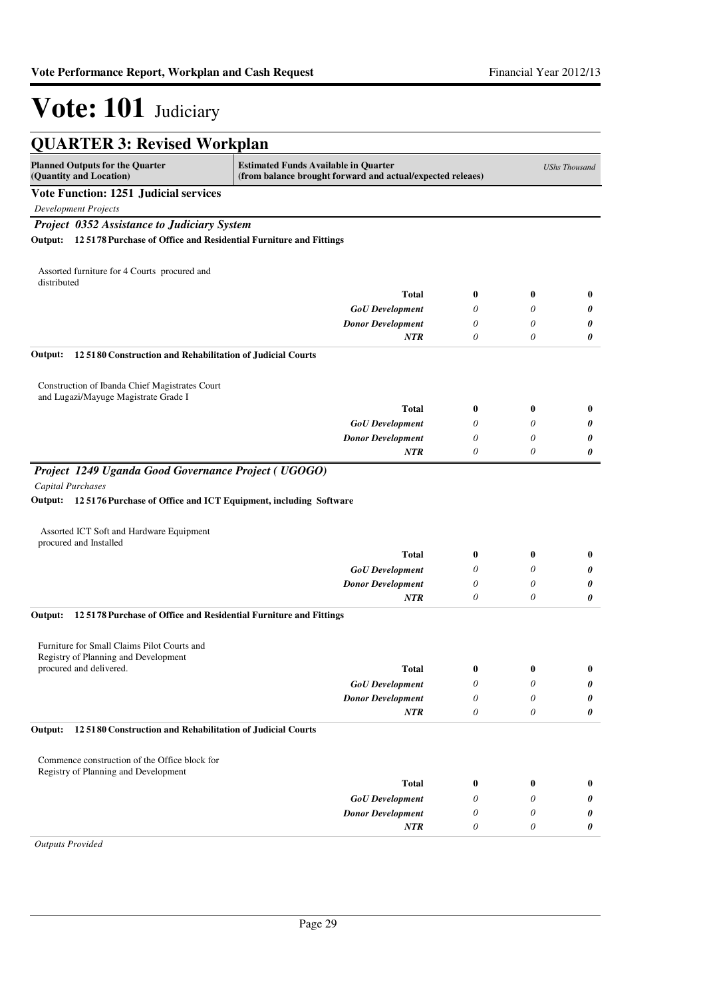| <b>QUARTER 3: Revised Workplan</b>                                                                                       |                                                                                                           |          |                  |                      |
|--------------------------------------------------------------------------------------------------------------------------|-----------------------------------------------------------------------------------------------------------|----------|------------------|----------------------|
| <b>Planned Outputs for the Quarter</b><br>(Quantity and Location)                                                        | <b>Estimated Funds Available in Quarter</b><br>(from balance brought forward and actual/expected releaes) |          |                  | <b>UShs Thousand</b> |
| <b>Vote Function: 1251 Judicial services</b>                                                                             |                                                                                                           |          |                  |                      |
| <b>Development Projects</b>                                                                                              |                                                                                                           |          |                  |                      |
| Project 0352 Assistance to Judiciary System<br>Output: 12 5178 Purchase of Office and Residential Furniture and Fittings |                                                                                                           |          |                  |                      |
|                                                                                                                          |                                                                                                           |          |                  |                      |
| Assorted furniture for 4 Courts procured and<br>distributed                                                              |                                                                                                           |          |                  |                      |
|                                                                                                                          | <b>Total</b>                                                                                              | $\bf{0}$ | $\bf{0}$         | $\bf{0}$             |
|                                                                                                                          | <b>GoU</b> Development                                                                                    | 0        | 0                | 0                    |
|                                                                                                                          | <b>Donor Development</b>                                                                                  | 0        | 0                | 0                    |
|                                                                                                                          | <b>NTR</b>                                                                                                | 0        | 0                | 0                    |
| Output:<br>12 5180 Construction and Rehabilitation of Judicial Courts                                                    |                                                                                                           |          |                  |                      |
| Construction of Ibanda Chief Magistrates Court<br>and Lugazi/Mayuge Magistrate Grade I                                   |                                                                                                           |          |                  |                      |
|                                                                                                                          | <b>Total</b>                                                                                              | $\bf{0}$ | $\bf{0}$         | $\bf{0}$             |
|                                                                                                                          | <b>GoU</b> Development                                                                                    | 0        | 0                | 0                    |
|                                                                                                                          | <b>Donor Development</b>                                                                                  | 0        | $\theta$         | 0                    |
|                                                                                                                          | <b>NTR</b>                                                                                                | 0        | $\theta$         | 0                    |
| Project 1249 Uganda Good Governance Project (UGOGO)                                                                      |                                                                                                           |          |                  |                      |
| <b>Capital Purchases</b>                                                                                                 |                                                                                                           |          |                  |                      |
| Output: 125176 Purchase of Office and ICT Equipment, including Software                                                  |                                                                                                           |          |                  |                      |
| Assorted ICT Soft and Hardware Equipment                                                                                 |                                                                                                           |          |                  |                      |
| procured and Installed                                                                                                   | <b>Total</b>                                                                                              | $\bf{0}$ | $\bf{0}$         | $\bf{0}$             |
|                                                                                                                          | <b>GoU</b> Development                                                                                    | 0        | 0                | 0                    |
|                                                                                                                          | <b>Donor Development</b>                                                                                  | 0        | 0                | 0                    |
|                                                                                                                          | <b>NTR</b>                                                                                                | 0        | 0                | 0                    |
| 125178 Purchase of Office and Residential Furniture and Fittings<br>Output:                                              |                                                                                                           |          |                  |                      |
|                                                                                                                          |                                                                                                           |          |                  |                      |
| Furniture for Small Claims Pilot Courts and                                                                              |                                                                                                           |          |                  |                      |
| Registry of Planning and Development<br>procured and delivered.                                                          |                                                                                                           |          |                  |                      |
|                                                                                                                          | <b>Total</b>                                                                                              | 0<br>0   | $\boldsymbol{0}$ | $\bf{0}$             |
|                                                                                                                          | <b>GoU</b> Development<br><b>Donor Development</b>                                                        | 0        | 0<br>$\theta$    | 0<br>0               |
|                                                                                                                          | <b>NTR</b>                                                                                                | 0        | 0                | 0                    |
| 12 5180 Construction and Rehabilitation of Judicial Courts<br>Output:                                                    |                                                                                                           |          |                  |                      |
|                                                                                                                          |                                                                                                           |          |                  |                      |
| Commence construction of the Office block for                                                                            |                                                                                                           |          |                  |                      |
| Registry of Planning and Development                                                                                     |                                                                                                           |          |                  |                      |
|                                                                                                                          | <b>Total</b>                                                                                              | $\bf{0}$ | $\bf{0}$         | $\bf{0}$             |
|                                                                                                                          | <b>GoU</b> Development                                                                                    | 0        | 0                | 0                    |
|                                                                                                                          | <b>Donor Development</b><br>NTR                                                                           | 0<br>0   | 0<br>0           | 0<br>0               |
|                                                                                                                          |                                                                                                           |          |                  |                      |

*Outputs Provided*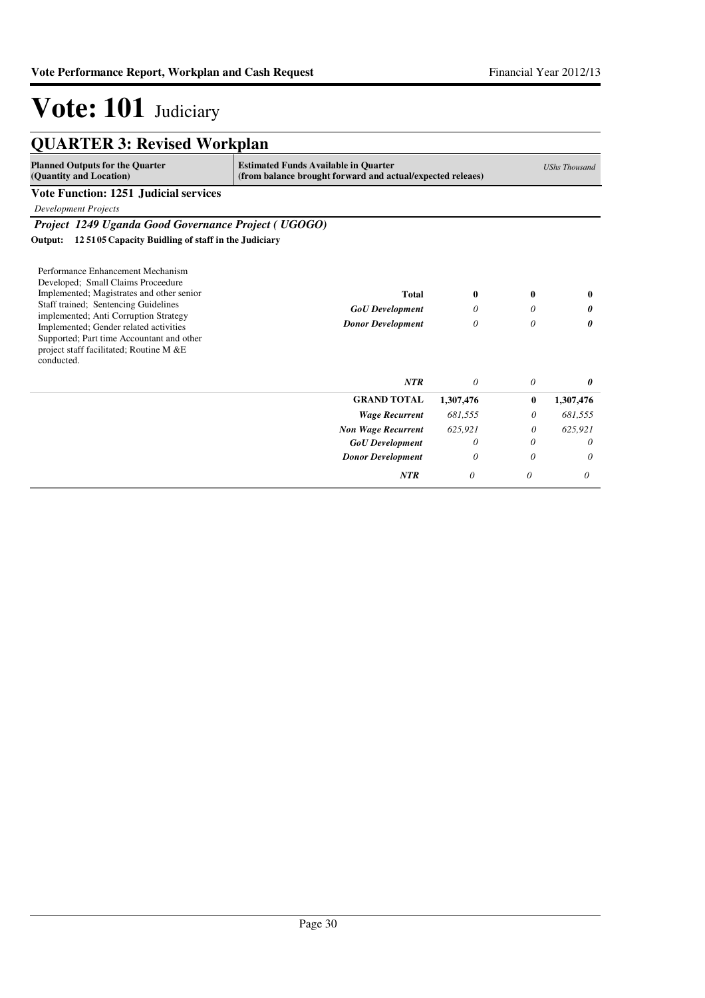| <b>QUARTER 3: Revised Workplan</b>                                                                                                                                                                                                                                                                                                                    |                                                                                                           |                        |             |                      |
|-------------------------------------------------------------------------------------------------------------------------------------------------------------------------------------------------------------------------------------------------------------------------------------------------------------------------------------------------------|-----------------------------------------------------------------------------------------------------------|------------------------|-------------|----------------------|
| <b>Planned Outputs for the Quarter</b><br>(Quantity and Location)                                                                                                                                                                                                                                                                                     | <b>Estimated Funds Available in Quarter</b><br>(from balance brought forward and actual/expected releaes) |                        |             | <b>UShs Thousand</b> |
| <b>Vote Function: 1251 Judicial services</b>                                                                                                                                                                                                                                                                                                          |                                                                                                           |                        |             |                      |
| <b>Development Projects</b>                                                                                                                                                                                                                                                                                                                           |                                                                                                           |                        |             |                      |
| Project 1249 Uganda Good Governance Project (UGOGO)                                                                                                                                                                                                                                                                                                   |                                                                                                           |                        |             |                      |
| 125105 Capacity Buidling of staff in the Judiciary<br>Output:                                                                                                                                                                                                                                                                                         |                                                                                                           |                        |             |                      |
| Performance Enhancement Mechanism<br>Developed; Small Claims Proceedure<br>Implemented; Magistrates and other senior<br>Staff trained; Sentencing Guidelines<br>implemented; Anti Corruption Strategy<br>Implemented; Gender related activities<br>Supported; Part time Accountant and other<br>project staff facilitated; Routine M &E<br>conducted. | Total<br><b>GoU</b> Development<br><b>Donor Development</b>                                               | $\mathbf{0}$<br>0<br>0 | 0<br>0<br>0 | 0<br>0<br>0          |
|                                                                                                                                                                                                                                                                                                                                                       | <b>NTR</b>                                                                                                | $\theta$               | 0           | 0                    |
|                                                                                                                                                                                                                                                                                                                                                       | <b>GRAND TOTAL</b>                                                                                        | 1,307,476              | $\bf{0}$    | 1,307,476            |
|                                                                                                                                                                                                                                                                                                                                                       | <b>Wage Recurrent</b>                                                                                     | 681,555                | 0           | 681,555              |
|                                                                                                                                                                                                                                                                                                                                                       | <b>Non Wage Recurrent</b>                                                                                 | 625.921                | 0           | 625.921              |
|                                                                                                                                                                                                                                                                                                                                                       | <b>GoU</b> Development                                                                                    | 0                      | 0           | 0                    |
|                                                                                                                                                                                                                                                                                                                                                       | <b>Donor Development</b>                                                                                  | 0                      | 0           | 0                    |
|                                                                                                                                                                                                                                                                                                                                                       | <b>NTR</b>                                                                                                | 0                      | 0           | 0                    |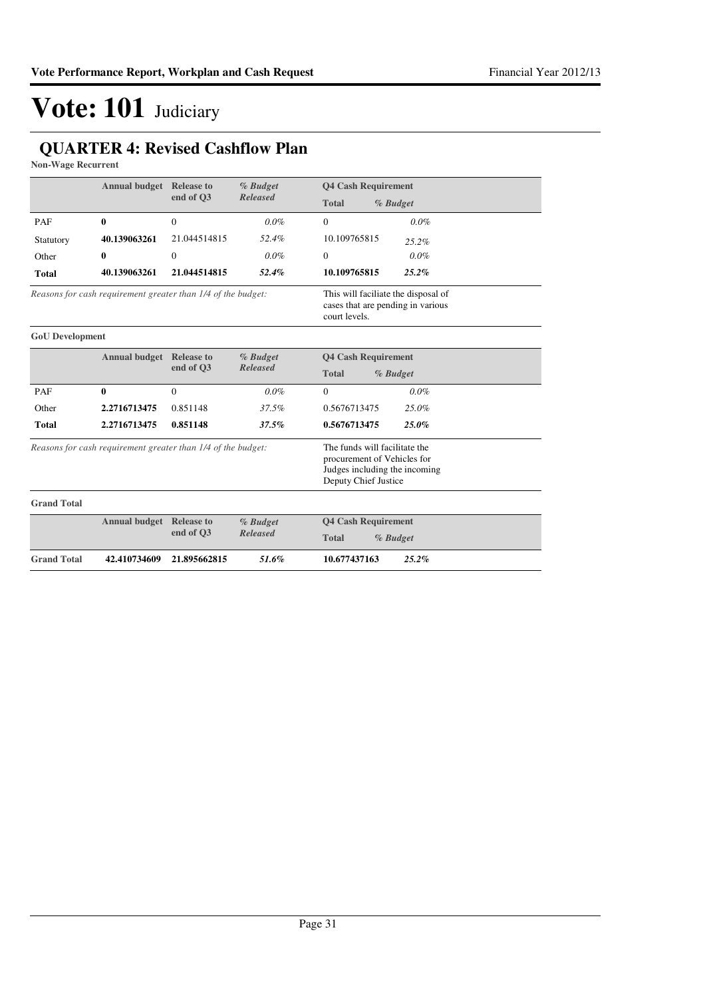### **QUARTER 4: Revised Cashflow Plan**

**Non-Wage Recurrent**

|                                                              | <b>Annual budget Release to</b>                              |              | % Budget                                                                                  | <b>04 Cash Requirement</b>                                                                                            |
|--------------------------------------------------------------|--------------------------------------------------------------|--------------|-------------------------------------------------------------------------------------------|-----------------------------------------------------------------------------------------------------------------------|
|                                                              |                                                              | end of O3    | <b>Released</b>                                                                           | <b>Total</b><br>% Budget                                                                                              |
| PAF                                                          | $\bf{0}$                                                     | $\theta$     | $0.0\%$                                                                                   | $\Omega$<br>$0.0\%$                                                                                                   |
| Statutory                                                    | 40.139063261                                                 | 21.044514815 | 52.4%                                                                                     | 10.109765815<br>25.2%                                                                                                 |
| Other                                                        | 0                                                            | $\Omega$     | $0.0\%$                                                                                   | 0.0%<br>$\Omega$                                                                                                      |
| <b>Total</b>                                                 | 40.139063261                                                 | 21.044514815 | 52.4%                                                                                     | 25.2%<br>10.109765815                                                                                                 |
| Reasons for cash requirement greater than 1/4 of the budget: |                                                              |              | This will faciliate the disposal of<br>cases that are pending in various<br>court levels. |                                                                                                                       |
| <b>GoU</b> Development                                       |                                                              |              |                                                                                           |                                                                                                                       |
|                                                              | <b>Annual budget</b> Release to                              |              | % Budget                                                                                  | <b>Q4 Cash Requirement</b>                                                                                            |
|                                                              |                                                              | end of O3    | <b>Released</b>                                                                           | <b>Total</b><br>% Budget                                                                                              |
| PAF                                                          | 0                                                            | $\Omega$     | $0.0\%$                                                                                   | $0.0\%$<br>$\Omega$                                                                                                   |
| Other                                                        | 2.2716713475                                                 | 0.851148     | 37.5%                                                                                     | 0.5676713475<br>25.0%                                                                                                 |
| <b>Total</b>                                                 | 2.2716713475                                                 | 0.851148     | 37.5%                                                                                     | 0.5676713475<br>25.0%                                                                                                 |
|                                                              | Reasons for cash requirement greater than 1/4 of the budget: |              |                                                                                           | The funds will facilitate the<br>procurement of Vehicles for<br>Judges including the incoming<br>Deputy Chief Justice |
| <b>Grand Total</b>                                           |                                                              |              |                                                                                           |                                                                                                                       |
|                                                              | <b>Annual budget</b> Release to                              |              | % Budget                                                                                  | <b>Q4 Cash Requirement</b>                                                                                            |
|                                                              |                                                              | end of O3    | <b>Released</b>                                                                           | <b>Total</b><br>% Budget                                                                                              |
| <b>Grand Total</b>                                           | 42.410734609                                                 | 21.895662815 | 51.6%                                                                                     | 25.2%<br>10.677437163                                                                                                 |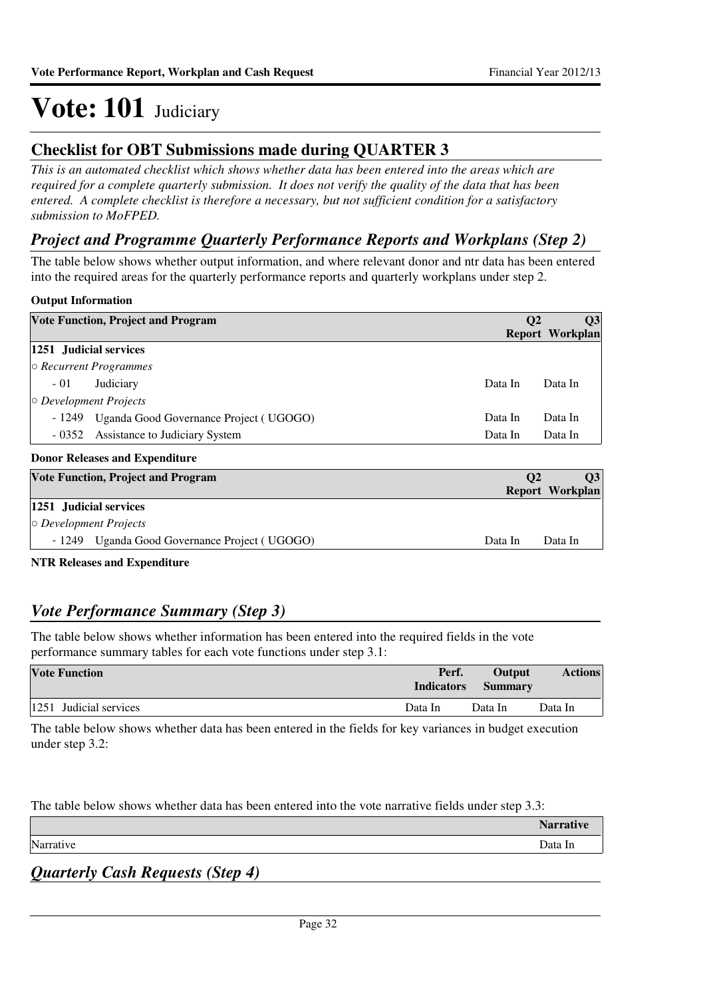### **Checklist for OBT Submissions made during QUARTER 3**

*This is an automated checklist which shows whether data has been entered into the areas which are required for a complete quarterly submission. It does not verify the quality of the data that has been entered. A complete checklist is therefore a necessary, but not sufficient condition for a satisfactory submission to MoFPED.*

### *Project and Programme Quarterly Performance Reports and Workplans (Step 2)*

The table below shows whether output information, and where relevant donor and ntr data has been entered into the required areas for the quarterly performance reports and quarterly workplans under step 2.

### **Output Information**

| <b>Vote Function, Project and Program</b> |                                           |           | Q <sub>3</sub>         |
|-------------------------------------------|-------------------------------------------|-----------|------------------------|
|                                           |                                           |           | <b>Report Workplan</b> |
| 1251 Judicial services                    |                                           |           |                        |
|                                           | $\circ$ Recurrent Programmes              |           |                        |
| $-01$                                     | Judiciary                                 | Data In   | Data In                |
| $\circ$ Development Projects              |                                           |           |                        |
| - 1249                                    | Uganda Good Governance Project (UGOGO)    | Data In   | Data In                |
|                                           | - 0352 Assistance to Judiciary System     | Data In   | Data In                |
|                                           | <b>Donor Releases and Expenditure</b>     |           |                        |
|                                           | <b>Vote Function, Project and Program</b> | $\bf{O}2$ | $\overline{03}$        |

| <b>Vote Function, Project and Program</b>     | $\Omega$ | O3              |
|-----------------------------------------------|----------|-----------------|
|                                               |          | Report Workplan |
| 1251 Judicial services                        |          |                 |
| $\circ$ Development Projects                  |          |                 |
| - 1249 Uganda Good Governance Project (UGOGO) | Data In  | Data In         |
|                                               |          |                 |

**NTR Releases and Expenditure**

### *Vote Performance Summary (Step 3)*

The table below shows whether information has been entered into the required fields in the vote performance summary tables for each vote functions under step 3.1:

| <b>Vote Function</b>   | Perf.<br><b>Indicators</b> | <b>Output</b><br><b>Summary</b> | <b>Actions</b> |
|------------------------|----------------------------|---------------------------------|----------------|
| 1251 Judicial services | Data In                    | Data In                         | Data In        |

The table below shows whether data has been entered in the fields for key variances in budget execution under step 3.2:

The table below shows whether data has been entered into the vote narrative fields under step 3.3:

|              | <b>NT.</b><br>w |
|--------------|-----------------|
| $\mathbf{r}$ | Data In         |
|              |                 |

### *Quarterly Cash Requests (Step 4)*